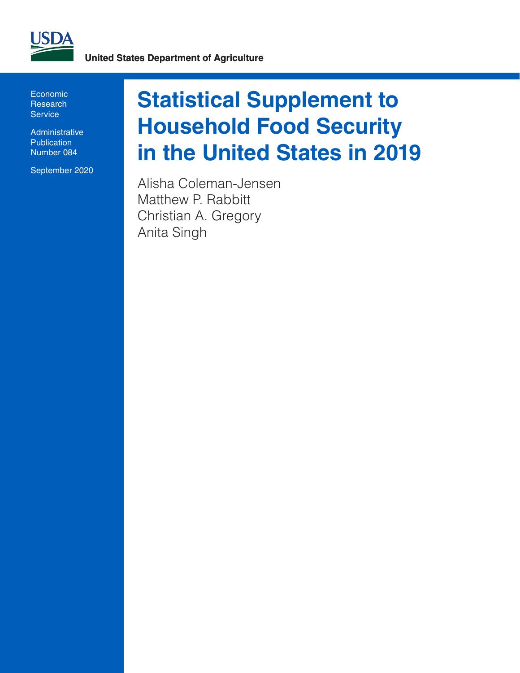

Economic **Research Service** 

**Administrative Publication** Number 084

September 2020

# **Statistical Supplement to Household Food Security in the United States in 2019**

Alisha Coleman-Jensen Matthew P. Rabbitt Christian A. Gregory Anita Singh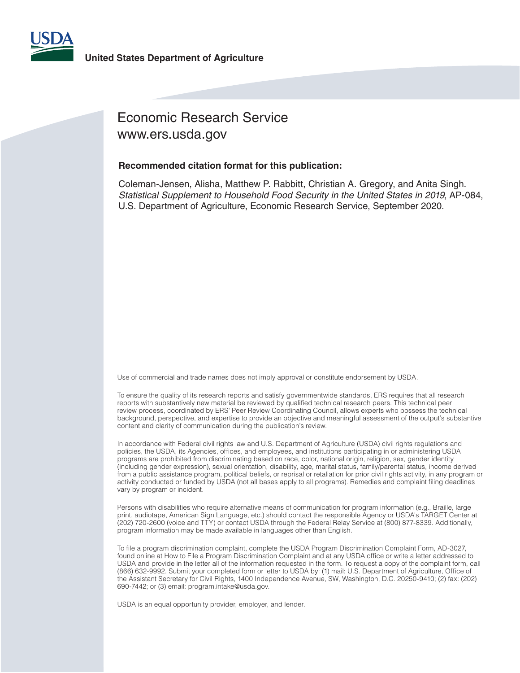

### Economic Research Service www.ers.usda.gov

#### **Recommended citation format for this publication:**

Coleman-Jensen, Alisha, Matthew P. Rabbitt, Christian A. Gregory, and Anita Singh. *Statistical Supplement to Household Food Security in the United States in 2019*, AP-084, U.S. Department of Agriculture, Economic Research Service, September 2020.

Use of commercial and trade names does not imply approval or constitute endorsement by USDA.

To ensure the quality of its research reports and satisfy governmentwide standards, ERS requires that all research reports with substantively new material be reviewed by qualified technical research peers. This technical peer review process, coordinated by ERS' Peer Review Coordinating Council, allows experts who possess the technical background, perspective, and expertise to provide an objective and meaningful assessment of the output's substantive content and clarity of communication during the publication's review.

In accordance with Federal civil rights law and U.S. Department of Agriculture (USDA) civil rights regulations and policies, the USDA, its Agencies, offices, and employees, and institutions participating in or administering USDA programs are prohibited from discriminating based on race, color, national origin, religion, sex, gender identity (including gender expression), sexual orientation, disability, age, marital status, family/parental status, income derived from a public assistance program, political beliefs, or reprisal or retaliation for prior civil rights activity, in any program or activity conducted or funded by USDA (not all bases apply to all programs). Remedies and complaint filing deadlines vary by program or incident.

Persons with disabilities who require alternative means of communication for program information (e.g., Braille, large print, audiotape, American Sign Language, etc.) should contact the responsible Agency or USDA's TARGET Center at (202) 720-2600 (voice and TTY) or contact USDA through the Federal Relay Service at (800) 877-8339. Additionally, program information may be made available in languages other than English.

To file a program discrimination complaint, complete the USDA Program Discrimination Complaint Form, AD-3027, found online at How to File a Program Discrimination Complaint and at any USDA office or write a letter addressed to USDA and provide in the letter all of the information requested in the form. To request a copy of the complaint form, call (866) 632-9992. Submit your completed form or letter to USDA by: (1) mail: U.S. Department of Agriculture, Office of the Assistant Secretary for Civil Rights, 1400 Independence Avenue, SW, Washington, D.C. 20250-9410; (2) fax: (202) 690-7442; or (3) email: program.intake@usda.gov.

USDA is an equal opportunity provider, employer, and lender.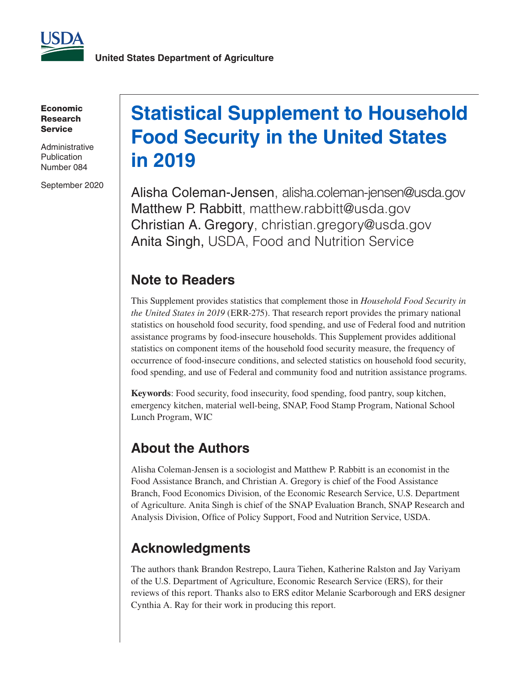

Economic Research Service

**Administrative Publication** Number 084

September 2020

# **Statistical Supplement to Household Food Security in the United States in 2019**

Alisha Coleman-Jensen, alisha.coleman-jensen@usda.gov Matthew P. Rabbitt, matthew.rabbitt@usda.gov Christian A. Gregory, christian.gregory@usda.gov Anita Singh, USDA, Food and Nutrition Service

### **Note to Readers**

This Supplement provides statistics that complement those in *Household Food Security in the United States in 2019* (ERR-275). That research report provides the primary national statistics on household food security, food spending, and use of Federal food and nutrition assistance programs by food-insecure households. This Supplement provides additional statistics on component items of the household food security measure, the frequency of occurrence of food-insecure conditions, and selected statistics on household food security, food spending, and use of Federal and community food and nutrition assistance programs.

**Keywords**: Food security, food insecurity, food spending, food pantry, soup kitchen, emergency kitchen, material well-being, SNAP, Food Stamp Program, National School Lunch Program, WIC

### **About the Authors**

Alisha Coleman-Jensen is a sociologist and Matthew P. Rabbitt is an economist in the Food Assistance Branch, and Christian A. Gregory is chief of the Food Assistance Branch, Food Economics Division, of the Economic Research Service, U.S. Department of Agriculture. Anita Singh is chief of the SNAP Evaluation Branch, SNAP Research and Analysis Division, Office of Policy Support, Food and Nutrition Service, USDA.

### **Acknowledgments**

The authors thank Brandon Restrepo, Laura Tiehen, Katherine Ralston and Jay Variyam of the U.S. Department of Agriculture, Economic Research Service (ERS), for their reviews of this report. Thanks also to ERS editor Melanie Scarborough and ERS designer Cynthia A. Ray for their work in producing this report.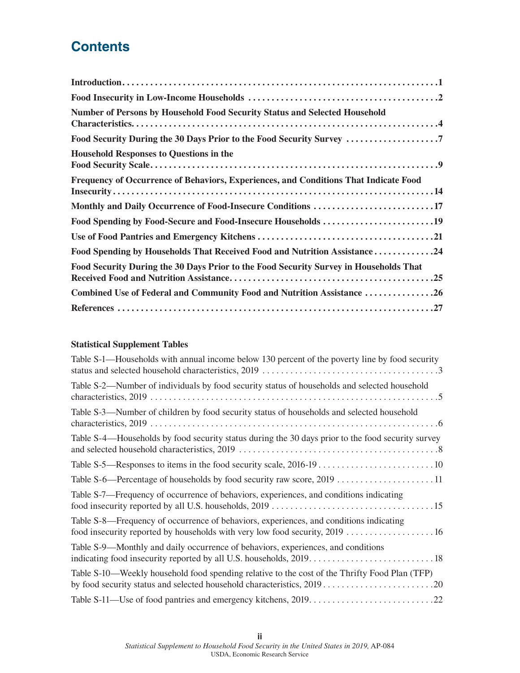### **Contents**

| <b>Number of Persons by Household Food Security Status and Selected Household</b>     |
|---------------------------------------------------------------------------------------|
| Food Security During the 30 Days Prior to the Food Security Survey                    |
| <b>Household Responses to Questions in the</b>                                        |
| Frequency of Occurrence of Behaviors, Experiences, and Conditions That Indicate Food  |
| Monthly and Daily Occurrence of Food-Insecure Conditions 17                           |
| Food Spending by Food-Secure and Food-Insecure Households 19                          |
|                                                                                       |
| Food Spending by Households That Received Food and Nutrition Assistance24             |
| Food Security During the 30 Days Prior to the Food Security Survey in Households That |
| Combined Use of Federal and Community Food and Nutrition Assistance 26                |
|                                                                                       |

### **Statistical Supplement Tables**

| Table S-1—Households with annual income below 130 percent of the poverty line by food security                                                                        |
|-----------------------------------------------------------------------------------------------------------------------------------------------------------------------|
| Table S-2—Number of individuals by food security status of households and selected household                                                                          |
| Table S-3—Number of children by food security status of households and selected household                                                                             |
| Table S-4—Households by food security status during the 30 days prior to the food security survey                                                                     |
|                                                                                                                                                                       |
|                                                                                                                                                                       |
| Table S-7—Frequency of occurrence of behaviors, experiences, and conditions indicating                                                                                |
| Table S-8—Frequency of occurrence of behaviors, experiences, and conditions indicating<br>food insecurity reported by households with very low food security, 2019 16 |
| Table S-9—Monthly and daily occurrence of behaviors, experiences, and conditions                                                                                      |
| Table S-10—Weekly household food spending relative to the cost of the Thrifty Food Plan (TFP)                                                                         |
|                                                                                                                                                                       |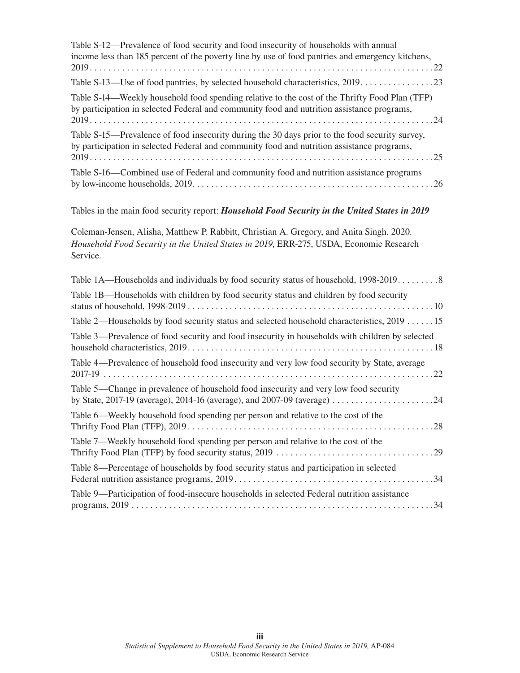| Table S-12—Prevalence of food security and food insecurity of households with annual<br>income less than 185 percent of the poverty line by use of food pantries and emergency kitchens,       |
|------------------------------------------------------------------------------------------------------------------------------------------------------------------------------------------------|
| Table S-13-Use of food pantries, by selected household characteristics, 2019. 23                                                                                                               |
| Table S-14—Weekly household food spending relative to the cost of the Thrifty Food Plan (TFP)<br>by participation in selected Federal and community food and nutrition assistance programs,    |
| Table S-15—Prevalence of food insecurity during the 30 days prior to the food security survey,<br>by participation in selected Federal and community food and nutrition assistance programs,   |
| Table S-16—Combined use of Federal and community food and nutrition assistance programs                                                                                                        |
| Tables in the main food security report: <i>Household Food Security in the United States in 2019</i>                                                                                           |
| Coleman-Jensen, Alisha, Matthew P. Rabbitt, Christian A. Gregory, and Anita Singh. 2020.<br>Household Food Security in the United States in 2019, ERR-275, USDA, Economic Research<br>Service. |
| Table 1A—Households and individuals by food security status of household, 1998-20198                                                                                                           |
| Table 1B—Households with children by food security status and children by food security                                                                                                        |
| Table 2—Households by food security status and selected household characteristics, 2019 15                                                                                                     |
| Table 3—Prevalence of food security and food insecurity in households with children by selected                                                                                                |
| Table 4—Prevalence of household food insecurity and very low food security by State, average                                                                                                   |
| Table 5—Change in prevalence of household food insecurity and very low food security<br>by State, 2017-19 (average), 2014-16 (average), and 2007-09 (average) 24                               |
| Table 6—Weekly household food spending per person and relative to the cost of the                                                                                                              |
| Table 7—Weekly household food spending per person and relative to the cost of the                                                                                                              |
| Table 8—Percentage of households by food security status and participation in selected                                                                                                         |
| Table 9-Participation of food-insecure households in selected Federal nutrition assistance                                                                                                     |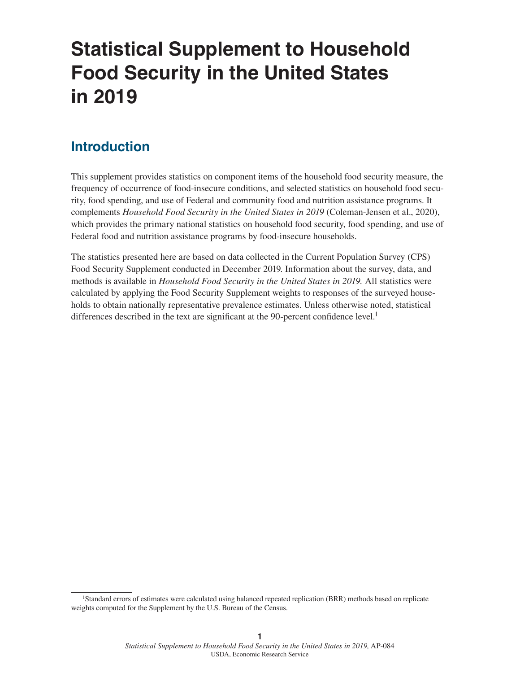# **Statistical Supplement to Household Food Security in the United States in 2019**

### **Introduction**

This supplement provides statistics on component items of the household food security measure, the frequency of occurrence of food-insecure conditions, and selected statistics on household food security, food spending, and use of Federal and community food and nutrition assistance programs. It complements *Household Food Security in the United States in 2019* (Coleman-Jensen et al., 2020), which provides the primary national statistics on household food security, food spending, and use of Federal food and nutrition assistance programs by food-insecure households.

The statistics presented here are based on data collected in the Current Population Survey (CPS) Food Security Supplement conducted in December 2019. Information about the survey, data, and methods is available in *Household Food Security in the United States in 2019.* All statistics were calculated by applying the Food Security Supplement weights to responses of the surveyed households to obtain nationally representative prevalence estimates. Unless otherwise noted, statistical differences described in the text are significant at the 90-percent confidence level.<sup>1</sup>

<sup>1</sup>Standard errors of estimates were calculated using balanced repeated replication (BRR) methods based on replicate weights computed for the Supplement by the U.S. Bureau of the Census.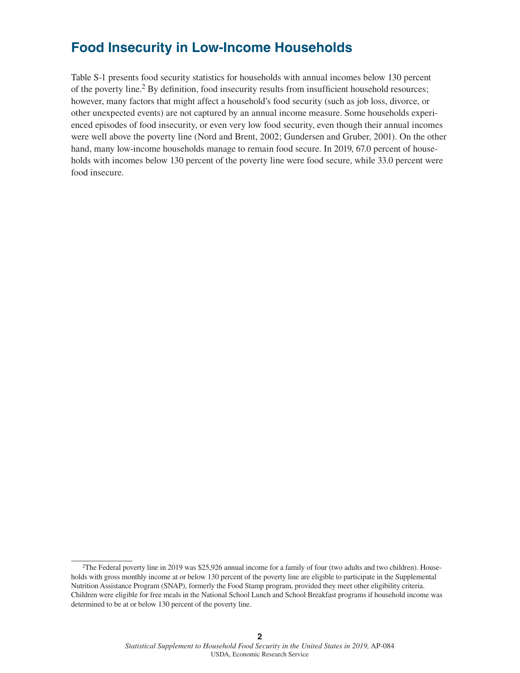### **Food Insecurity in Low-Income Households**

Table S-1 presents food security statistics for households with annual incomes below 130 percent of the poverty line.<sup>2</sup> By definition, food insecurity results from insufficient household resources; however, many factors that might affect a household's food security (such as job loss, divorce, or other unexpected events) are not captured by an annual income measure. Some households experienced episodes of food insecurity, or even very low food security, even though their annual incomes were well above the poverty line (Nord and Brent, 2002; Gundersen and Gruber, 2001). On the other hand, many low-income households manage to remain food secure. In 2019, 67.0 percent of households with incomes below 130 percent of the poverty line were food secure, while 33.0 percent were food insecure.

<sup>2</sup>The Federal poverty line in 2019 was \$25,926 annual income for a family of four (two adults and two children). Households with gross monthly income at or below 130 percent of the poverty line are eligible to participate in the Supplemental Nutrition Assistance Program (SNAP), formerly the Food Stamp program, provided they meet other eligibility criteria. Children were eligible for free meals in the National School Lunch and School Breakfast programs if household income was determined to be at or below 130 percent of the poverty line.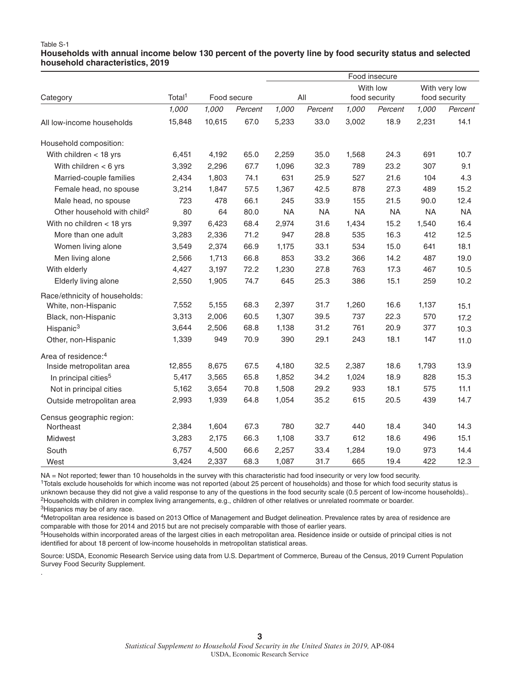#### Table S-1 **Households with annual income below 130 percent of the poverty line by food security status and selected household characteristics, 2019**

|                                         |                    |             |         | Food insecure |           |               |           |               |           |  |  |
|-----------------------------------------|--------------------|-------------|---------|---------------|-----------|---------------|-----------|---------------|-----------|--|--|
|                                         |                    |             |         |               |           | With low      |           | With very low |           |  |  |
| Category                                | Total <sup>1</sup> | Food secure |         | All           |           | food security |           | food security |           |  |  |
|                                         | 1,000              | 1,000       | Percent | 1,000         | Percent   | 1,000         | Percent   | 1,000         | Percent   |  |  |
| All low-income households               | 15,848             | 10,615      | 67.0    | 5,233         | 33.0      | 3,002         | 18.9      | 2,231         | 14.1      |  |  |
| Household composition:                  |                    |             |         |               |           |               |           |               |           |  |  |
| With children $<$ 18 yrs                | 6,451              | 4,192       | 65.0    | 2,259         | 35.0      | 1,568         | 24.3      | 691           | 10.7      |  |  |
| With children $<$ 6 yrs                 | 3,392              | 2,296       | 67.7    | 1,096         | 32.3      | 789           | 23.2      | 307           | 9.1       |  |  |
| Married-couple families                 | 2,434              | 1,803       | 74.1    | 631           | 25.9      | 527           | 21.6      | 104           | 4.3       |  |  |
| Female head, no spouse                  | 3,214              | 1,847       | 57.5    | 1,367         | 42.5      | 878           | 27.3      | 489           | 15.2      |  |  |
| Male head, no spouse                    | 723                | 478         | 66.1    | 245           | 33.9      | 155           | 21.5      | 90.0          | 12.4      |  |  |
| Other household with child <sup>2</sup> | 80                 | 64          | 80.0    | <b>NA</b>     | <b>NA</b> | <b>NA</b>     | <b>NA</b> | <b>NA</b>     | <b>NA</b> |  |  |
| With no children $<$ 18 yrs             | 9,397              | 6,423       | 68.4    | 2,974         | 31.6      | 1,434         | 15.2      | 1,540         | 16.4      |  |  |
| More than one adult                     | 3,283              | 2,336       | 71.2    | 947           | 28.8      | 535           | 16.3      | 412           | 12.5      |  |  |
| Women living alone                      | 3,549              | 2,374       | 66.9    | 1,175         | 33.1      | 534           | 15.0      | 641           | 18.1      |  |  |
| Men living alone                        | 2,566              | 1,713       | 66.8    | 853           | 33.2      | 366           | 14.2      | 487           | 19.0      |  |  |
| With elderly                            | 4,427              | 3,197       | 72.2    | 1,230         | 27.8      | 763           | 17.3      | 467           | 10.5      |  |  |
| Elderly living alone                    | 2,550              | 1,905       | 74.7    | 645           | 25.3      | 386           | 15.1      | 259           | 10.2      |  |  |
| Race/ethnicity of households:           |                    |             |         |               |           |               |           |               |           |  |  |
| White, non-Hispanic                     | 7,552              | 5,155       | 68.3    | 2,397         | 31.7      | 1,260         | 16.6      | 1,137         | 15.1      |  |  |
| Black, non-Hispanic                     | 3,313              | 2,006       | 60.5    | 1,307         | 39.5      | 737           | 22.3      | 570           | 17.2      |  |  |
| Hispanic <sup>3</sup>                   | 3,644              | 2,506       | 68.8    | 1,138         | 31.2      | 761           | 20.9      | 377           | 10.3      |  |  |
| Other, non-Hispanic                     | 1,339              | 949         | 70.9    | 390           | 29.1      | 243           | 18.1      | 147           | 11.0      |  |  |
| Area of residence: <sup>4</sup>         |                    |             |         |               |           |               |           |               |           |  |  |
| Inside metropolitan area                | 12,855             | 8,675       | 67.5    | 4,180         | 32.5      | 2,387         | 18.6      | 1,793         | 13.9      |  |  |
| In principal cities <sup>5</sup>        | 5,417              | 3,565       | 65.8    | 1,852         | 34.2      | 1,024         | 18.9      | 828           | 15.3      |  |  |
| Not in principal cities                 | 5,162              | 3,654       | 70.8    | 1,508         | 29.2      | 933           | 18.1      | 575           | 11.1      |  |  |
| Outside metropolitan area               | 2,993              | 1,939       | 64.8    | 1,054         | 35.2      | 615           | 20.5      | 439           | 14.7      |  |  |
| Census geographic region:               |                    |             |         |               |           |               |           |               |           |  |  |
| Northeast                               | 2,384              | 1,604       | 67.3    | 780           | 32.7      | 440           | 18.4      | 340           | 14.3      |  |  |
| Midwest                                 | 3,283              | 2,175       | 66.3    | 1,108         | 33.7      | 612           | 18.6      | 496           | 15.1      |  |  |
| South                                   | 6,757              | 4,500       | 66.6    | 2,257         | 33.4      | 1,284         | 19.0      | 973           | 14.4      |  |  |
| West                                    | 3.424              | 2,337       | 68.3    | 1,087         | 31.7      | 665           | 19.4      | 422           | 12.3      |  |  |

NA = Not reported; fewer than 10 households in the survey with this characteristic had food insecurity or very low food security.

.

1Totals exclude households for which income was not reported (about 25 percent of households) and those for which food security status is unknown because they did not give a valid response to any of the questions in the food security scale (0.5 percent of low-income households).. 2Households with children in complex living arrangements, e.g., children of other relatives or unrelated roommate or boarder. 3Hispanics may be of any race.

4Metropolitan area residence is based on 2013 Office of Management and Budget delineation. Prevalence rates by area of residence are comparable with those for 2014 and 2015 but are not precisely comparable with those of earlier years.

<sup>5</sup>Households within incorporated areas of the largest cities in each metropolitan area. Residence inside or outside of principal cities is not identified for about 18 percent of low-income households in metropolitan statistical areas.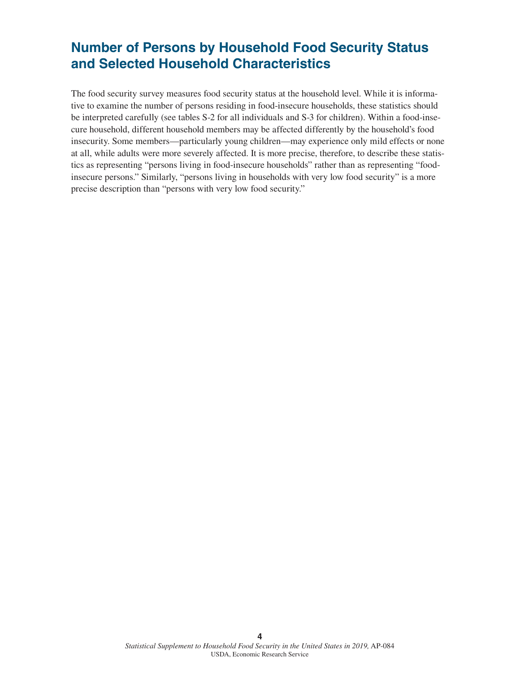### **Number of Persons by Household Food Security Status and Selected Household Characteristics**

The food security survey measures food security status at the household level. While it is informative to examine the number of persons residing in food-insecure households, these statistics should be interpreted carefully (see tables S-2 for all individuals and S-3 for children). Within a food-insecure household, different household members may be affected differently by the household's food insecurity. Some members—particularly young children—may experience only mild effects or none at all, while adults were more severely affected. It is more precise, therefore, to describe these statistics as representing "persons living in food-insecure households" rather than as representing "foodinsecure persons." Similarly, "persons living in households with very low food security" is a more precise description than "persons with very low food security."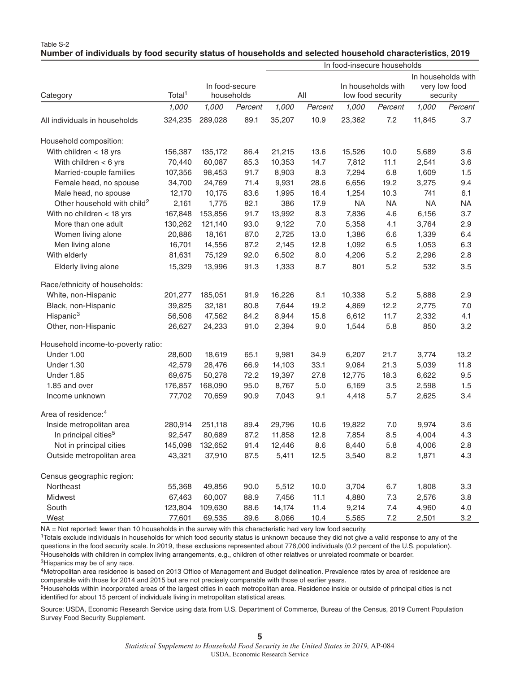|                                         |                    |                              | In food-insecure households |        |         |                                         |           |                                                 |           |
|-----------------------------------------|--------------------|------------------------------|-----------------------------|--------|---------|-----------------------------------------|-----------|-------------------------------------------------|-----------|
| Category                                | Total <sup>1</sup> | In food-secure<br>households |                             | All    |         | In households with<br>low food security |           | In households with<br>very low food<br>security |           |
|                                         | 1,000              | 1,000                        | Percent                     | 1,000  | Percent | 1,000                                   | Percent   | 1,000                                           | Percent   |
| All individuals in households           | 324,235            | 289,028                      | 89.1                        | 35,207 | 10.9    | 23,362                                  | 7.2       | 11,845                                          | 3.7       |
| Household composition:                  |                    |                              |                             |        |         |                                         |           |                                                 |           |
| With children $<$ 18 yrs                | 156,387            | 135,172                      | 86.4                        | 21,215 | 13.6    | 15,526                                  | 10.0      | 5,689                                           | 3.6       |
| With children $<$ 6 yrs                 | 70,440             | 60,087                       | 85.3                        | 10,353 | 14.7    | 7,812                                   | 11.1      | 2,541                                           | 3.6       |
| Married-couple families                 | 107,356            | 98,453                       | 91.7                        | 8,903  | 8.3     | 7,294                                   | 6.8       | 1,609                                           | 1.5       |
| Female head, no spouse                  | 34,700             | 24,769                       | 71.4                        | 9,931  | 28.6    | 6,656                                   | 19.2      | 3,275                                           | 9.4       |
| Male head, no spouse                    | 12,170             | 10,175                       | 83.6                        | 1,995  | 16.4    | 1,254                                   | 10.3      | 741                                             | 6.1       |
| Other household with child <sup>2</sup> | 2,161              | 1,775                        | 82.1                        | 386    | 17.9    | <b>NA</b>                               | <b>NA</b> | <b>NA</b>                                       | <b>NA</b> |
| With no children < 18 yrs               | 167,848            | 153,856                      | 91.7                        | 13,992 | 8.3     | 7,836                                   | 4.6       | 6,156                                           | 3.7       |
| More than one adult                     | 130,262            | 121,140                      | 93.0                        | 9,122  | 7.0     | 5,358                                   | 4.1       | 3,764                                           | 2.9       |
| Women living alone                      | 20,886             | 18,161                       | 87.0                        | 2,725  | 13.0    | 1,386                                   | 6.6       | 1,339                                           | 6.4       |
| Men living alone                        | 16,701             | 14,556                       | 87.2                        | 2,145  | 12.8    | 1,092                                   | 6.5       | 1,053                                           | 6.3       |
| With elderly                            | 81,631             | 75,129                       | 92.0                        | 6,502  | 8.0     | 4,206                                   | 5.2       | 2,296                                           | 2.8       |
| Elderly living alone                    | 15,329             | 13,996                       | 91.3                        | 1,333  | 8.7     | 801                                     | 5.2       | 532                                             | 3.5       |
| Race/ethnicity of households:           |                    |                              |                             |        |         |                                         |           |                                                 |           |
| White, non-Hispanic                     | 201,277            | 185,051                      | 91.9                        | 16,226 | 8.1     | 10,338                                  | 5.2       | 5,888                                           | 2.9       |
| Black, non-Hispanic                     | 39,825             | 32,181                       | 80.8                        | 7,644  | 19.2    | 4,869                                   | 12.2      | 2,775                                           | 7.0       |
| Hispanic <sup>3</sup>                   | 56,506             | 47,562                       | 84.2                        | 8,944  | 15.8    | 6,612                                   | 11.7      | 2,332                                           | 4.1       |
| Other, non-Hispanic                     | 26,627             | 24,233                       | 91.0                        | 2,394  | 9.0     | 1,544                                   | 5.8       | 850                                             | 3.2       |
| Household income-to-poverty ratio:      |                    |                              |                             |        |         |                                         |           |                                                 |           |
| Under 1.00                              | 28,600             | 18,619                       | 65.1                        | 9,981  | 34.9    | 6,207                                   | 21.7      | 3,774                                           | 13.2      |
| Under 1.30                              | 42,579             | 28,476                       | 66.9                        | 14,103 | 33.1    | 9,064                                   | 21.3      | 5,039                                           | 11.8      |
| <b>Under 1.85</b>                       | 69,675             | 50,278                       | 72.2                        | 19,397 | 27.8    | 12,775                                  | 18.3      | 6,622                                           | 9.5       |
| 1.85 and over                           | 176,857            | 168,090                      | 95.0                        | 8,767  | 5.0     | 6,169                                   | 3.5       | 2,598                                           | 1.5       |
| Income unknown                          | 77,702             | 70,659                       | 90.9                        | 7,043  | 9.1     | 4,418                                   | 5.7       | 2,625                                           | 3.4       |
| Area of residence: <sup>4</sup>         |                    |                              |                             |        |         |                                         |           |                                                 |           |
| Inside metropolitan area                | 280,914            | 251,118                      | 89.4                        | 29,796 | 10.6    | 19,822                                  | 7.0       | 9,974                                           | 3.6       |
| In principal cities <sup>5</sup>        | 92,547             | 80,689                       | 87.2                        | 11,858 | 12.8    | 7,854                                   | 8.5       | 4,004                                           | 4.3       |
| Not in principal cities                 | 145,098            | 132,652                      | 91.4                        | 12,446 | 8.6     | 8,440                                   | 5.8       | 4,006                                           | 2.8       |
| Outside metropolitan area               | 43,321             | 37,910                       | 87.5                        | 5,411  | 12.5    | 3,540                                   | 8.2       | 1,871                                           | 4.3       |
| Census geographic region:               |                    |                              |                             |        |         |                                         |           |                                                 |           |
| Northeast                               | 55,368             | 49,856                       | 90.0                        | 5,512  | 10.0    | 3,704                                   | 6.7       | 1,808                                           | 3.3       |
| Midwest                                 | 67,463             | 60,007                       | 88.9                        | 7,456  | 11.1    | 4,880                                   | 7.3       | 2,576                                           | 3.8       |
| South                                   | 123,804            | 109,630                      | 88.6                        | 14,174 | 11.4    | 9,214                                   | 7.4       | 4,960                                           | 4.0       |
| West                                    | 77,601             | 69,535                       | 89.6                        | 8,066  | 10.4    | 5,565                                   | 7.2       | 2,501                                           | 3.2       |

#### Table S-2 **Number of individuals by food security status of households and selected household characteristics, 2019**

NA = Not reported; fewer than 10 households in the survey with this characteristic had very low food security.

1Totals exclude individuals in households for which food security status is unknown because they did not give a valid response to any of the questions in the food security scale. In 2019, these exclusions represented about 776,000 individuals (0.2 percent of the U.S. population). 2Households with children in complex living arrangements, e.g., children of other relatives or unrelated roommate or boarder.

<sup>3</sup>Hispanics may be of any race.

4Metropolitan area residence is based on 2013 Office of Management and Budget delineation. Prevalence rates by area of residence are comparable with those for 2014 and 2015 but are not precisely comparable with those of earlier years.

5Households within incorporated areas of the largest cities in each metropolitan area. Residence inside or outside of principal cities is not identified for about 15 percent of individuals living in metropolitan statistical areas.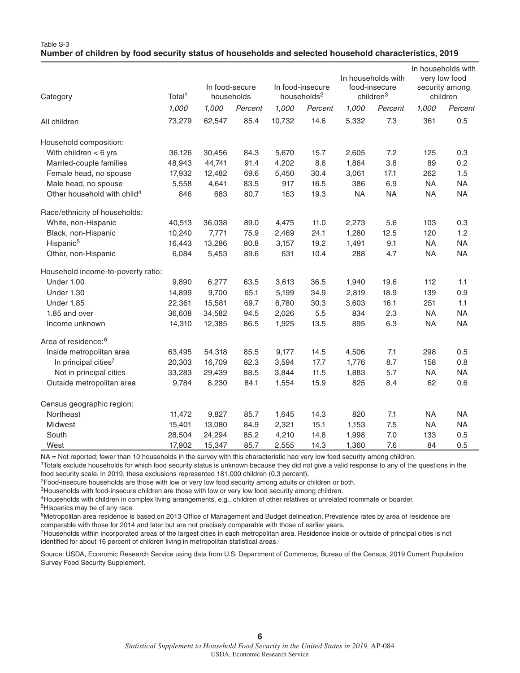| Category                                | Total <sup>1</sup> | In food-secure<br>households |         | In food-insecure<br>households <sup>2</sup> |         | In households with<br>food-insecure<br>children <sup>3</sup> |           | In households with<br>very low food<br>security among<br>children |           |
|-----------------------------------------|--------------------|------------------------------|---------|---------------------------------------------|---------|--------------------------------------------------------------|-----------|-------------------------------------------------------------------|-----------|
|                                         | 1,000              | 1,000                        | Percent | 1,000                                       | Percent | 1,000                                                        | Percent   | 1,000                                                             | Percent   |
| All children                            | 73,279             | 62,547                       | 85.4    | 10,732                                      | 14.6    | 5,332                                                        | 7.3       | 361                                                               | 0.5       |
| Household composition:                  |                    |                              |         |                                             |         |                                                              |           |                                                                   |           |
| With children $<$ 6 yrs                 | 36,126             | 30,456                       | 84.3    | 5,670                                       | 15.7    | 2,605                                                        | 7.2       | 125                                                               | 0.3       |
| Married-couple families                 | 48,943             | 44,741                       | 91.4    | 4,202                                       | 8.6     | 1,864                                                        | 3.8       | 89                                                                | 0.2       |
| Female head, no spouse                  | 17,932             | 12,482                       | 69.6    | 5,450                                       | 30.4    | 3,061                                                        | 17.1      | 262                                                               | 1.5       |
| Male head, no spouse                    | 5,558              | 4,641                        | 83.5    | 917                                         | 16.5    | 386                                                          | 6.9       | <b>NA</b>                                                         | <b>NA</b> |
| Other household with child <sup>4</sup> | 846                | 683                          | 80.7    | 163                                         | 19.3    | <b>NA</b>                                                    | <b>NA</b> | <b>NA</b>                                                         | <b>NA</b> |
| Race/ethnicity of households:           |                    |                              |         |                                             |         |                                                              |           |                                                                   |           |
| White, non-Hispanic                     | 40,513             | 36,038                       | 89.0    | 4,475                                       | 11.0    | 2,273                                                        | 5.6       | 103                                                               | 0.3       |
| Black, non-Hispanic                     | 10,240             | 7,771                        | 75.9    | 2,469                                       | 24.1    | 1,280                                                        | 12.5      | 120                                                               | 1.2       |
| Hispanic <sup>5</sup>                   | 16,443             | 13,286                       | 80.8    | 3,157                                       | 19.2    | 1,491                                                        | 9.1       | <b>NA</b>                                                         | <b>NA</b> |
| Other, non-Hispanic                     | 6,084              | 5,453                        | 89.6    | 631                                         | 10.4    | 288                                                          | 4.7       | <b>NA</b>                                                         | <b>NA</b> |
| Household income-to-poverty ratio:      |                    |                              |         |                                             |         |                                                              |           |                                                                   |           |
| Under 1.00                              | 9,890              | 6,277                        | 63.5    | 3,613                                       | 36.5    | 1,940                                                        | 19.6      | 112                                                               | 1.1       |
| <b>Under 1.30</b>                       | 14,899             | 9,700                        | 65.1    | 5,199                                       | 34.9    | 2,819                                                        | 18.9      | 139                                                               | 0.9       |
| Under 1.85                              | 22,361             | 15,581                       | 69.7    | 6,780                                       | 30.3    | 3,603                                                        | 16.1      | 251                                                               | 1.1       |
| 1.85 and over                           | 36,608             | 34,582                       | 94.5    | 2,026                                       | 5.5     | 834                                                          | 2.3       | <b>NA</b>                                                         | <b>NA</b> |
| Income unknown                          | 14,310             | 12,385                       | 86.5    | 1,925                                       | 13.5    | 895                                                          | 6.3       | <b>NA</b>                                                         | <b>NA</b> |
| Area of residence: <sup>6</sup>         |                    |                              |         |                                             |         |                                                              |           |                                                                   |           |
| Inside metropolitan area                | 63,495             | 54,318                       | 85.5    | 9,177                                       | 14.5    | 4,506                                                        | 7.1       | 298                                                               | 0.5       |
| In principal cities <sup>7</sup>        | 20,303             | 16,709                       | 82.3    | 3,594                                       | 17.7    | 1,776                                                        | 8.7       | 158                                                               | 0.8       |
| Not in principal cities                 | 33,283             | 29,439                       | 88.5    | 3,844                                       | 11.5    | 1,883                                                        | 5.7       | <b>NA</b>                                                         | <b>NA</b> |
| Outside metropolitan area               | 9,784              | 8,230                        | 84.1    | 1,554                                       | 15.9    | 825                                                          | 8.4       | 62                                                                | 0.6       |
| Census geographic region:               |                    |                              |         |                                             |         |                                                              |           |                                                                   |           |
| Northeast                               | 11,472             | 9,827                        | 85.7    | 1,645                                       | 14.3    | 820                                                          | 7.1       | <b>NA</b>                                                         | <b>NA</b> |
| Midwest                                 | 15,401             | 13,080                       | 84.9    | 2,321                                       | 15.1    | 1,153                                                        | 7.5       | <b>NA</b>                                                         | <b>NA</b> |
| South                                   | 28,504             | 24,294                       | 85.2    | 4,210                                       | 14.8    | 1,998                                                        | 7.0       | 133                                                               | 0.5       |
| West                                    | 17,902             | 15,347                       | 85.7    | 2,555                                       | 14.3    | 1,360                                                        | 7.6       | 84                                                                | 0.5       |

#### Table S-3 **Number of children by food security status of households and selected household characteristics, 2019**

NA = Not reported; fewer than 10 households in the survey with this characteristic had very low food security among children.

1Totals exclude households for which food security status is unknown because they did not give a valid response to any of the questions in the food security scale. In 2019, these exclusions represented 181,000 children (0.3 percent).

2Food-insecure households are those with low or very low food security among adults or children or both.

<sup>3</sup>Households with food-insecure children are those with low or very low food security among children.

4Households with children in complex living arrangements, e.g., children of other relatives or unrelated roommate or boarder. 5Hispanics may be of any race.

<sup>6</sup>Metropolitan area residence is based on 2013 Office of Management and Budget delineation. Prevalence rates by area of residence are comparable with those for 2014 and later but are not precisely comparable with those of earlier years.

7Households within incorporated areas of the largest cities in each metropolitan area. Residence inside or outside of principal cities is not identified for about 16 percent of children living in metropolitan statistical areas.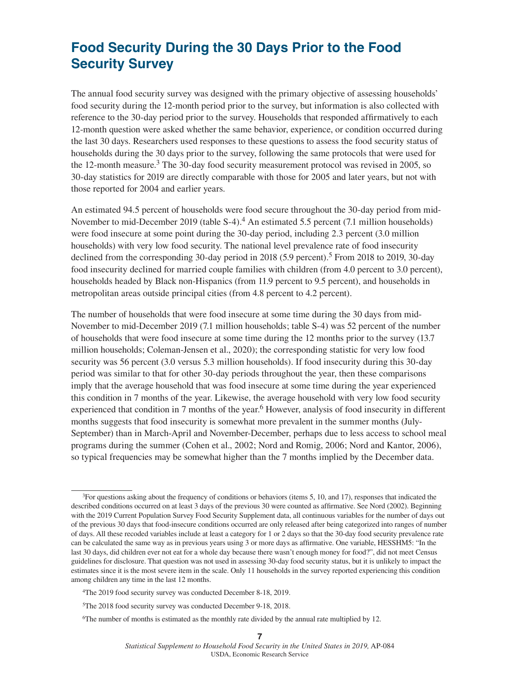### **Food Security During the 30 Days Prior to the Food Security Survey**

The annual food security survey was designed with the primary objective of assessing households' food security during the 12-month period prior to the survey, but information is also collected with reference to the 30-day period prior to the survey. Households that responded affirmatively to each 12-month question were asked whether the same behavior, experience, or condition occurred during the last 30 days. Researchers used responses to these questions to assess the food security status of households during the 30 days prior to the survey, following the same protocols that were used for the 12-month measure.3 The 30-day food security measurement protocol was revised in 2005, so 30-day statistics for 2019 are directly comparable with those for 2005 and later years, but not with those reported for 2004 and earlier years.

An estimated 94.5 percent of households were food secure throughout the 30-day period from mid-November to mid-December 2019 (table S-4).<sup>4</sup> An estimated 5.5 percent (7.1 million households) were food insecure at some point during the 30-day period, including 2.3 percent (3.0 million households) with very low food security. The national level prevalence rate of food insecurity declined from the corresponding 30-day period in 2018 (5.9 percent).<sup>5</sup> From 2018 to 2019, 30-day food insecurity declined for married couple families with children (from 4.0 percent to 3.0 percent), households headed by Black non-Hispanics (from 11.9 percent to 9.5 percent), and households in metropolitan areas outside principal cities (from 4.8 percent to 4.2 percent).

The number of households that were food insecure at some time during the 30 days from mid-November to mid-December 2019 (7.1 million households; table S-4) was 52 percent of the number of households that were food insecure at some time during the 12 months prior to the survey (13.7 million households; Coleman-Jensen et al., 2020); the corresponding statistic for very low food security was 56 percent (3.0 versus 5.3 million households). If food insecurity during this 30-day period was similar to that for other 30-day periods throughout the year, then these comparisons imply that the average household that was food insecure at some time during the year experienced this condition in 7 months of the year. Likewise, the average household with very low food security experienced that condition in 7 months of the year.<sup>6</sup> However, analysis of food insecurity in different months suggests that food insecurity is somewhat more prevalent in the summer months (July-September) than in March-April and November-December, perhaps due to less access to school meal programs during the summer (Cohen et al., 2002; Nord and Romig, 2006; Nord and Kantor, 2006), so typical frequencies may be somewhat higher than the 7 months implied by the December data.

<sup>3</sup>For questions asking about the frequency of conditions or behaviors (items 5, 10, and 17), responses that indicated the described conditions occurred on at least 3 days of the previous 30 were counted as affirmative. See Nord (2002). Beginning with the 2019 Current Population Survey Food Security Supplement data, all continuous variables for the number of days out of the previous 30 days that food-insecure conditions occurred are only released after being categorized into ranges of number of days. All these recoded variables include at least a category for 1 or 2 days so that the 30-day food security prevalence rate can be calculated the same way as in previous years using 3 or more days as affirmative. One variable, HESSHM5: "In the last 30 days, did children ever not eat for a whole day because there wasn't enough money for food?", did not meet Census guidelines for disclosure. That question was not used in assessing 30-day food security status, but it is unlikely to impact the estimates since it is the most severe item in the scale. Only 11 households in the survey reported experiencing this condition among children any time in the last 12 months.

<sup>4</sup>The 2019 food security survey was conducted December 8-18, 2019.

<sup>5</sup>The 2018 food security survey was conducted December 9-18, 2018.

<sup>6</sup>The number of months is estimated as the monthly rate divided by the annual rate multiplied by 12.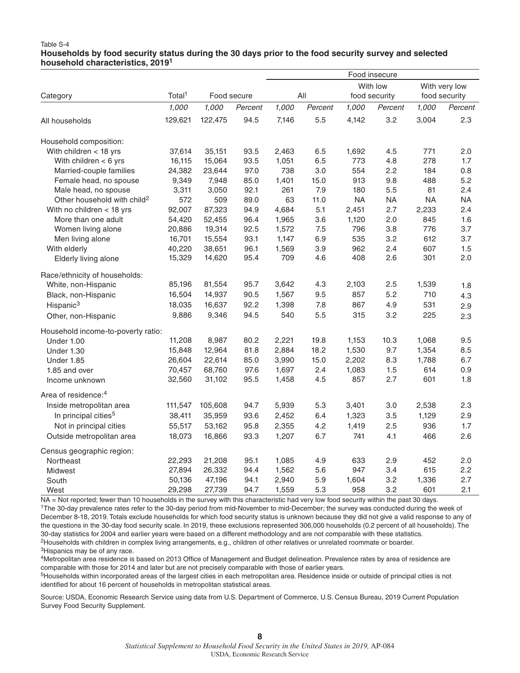#### Table S-4 **Households by food security status during the 30 days prior to the food security survey and selected household characteristics, 2019<sup>1</sup>**

|                                         |                    |             |         | Food insecure |         |                           |           |                                |           |  |
|-----------------------------------------|--------------------|-------------|---------|---------------|---------|---------------------------|-----------|--------------------------------|-----------|--|
| Category                                | Total <sup>1</sup> | Food secure |         | All           |         | With low<br>food security |           | With very low<br>food security |           |  |
|                                         | 1,000              | 1,000       | Percent | 1,000         | Percent | 1,000                     | Percent   | 1,000                          | Percent   |  |
| All households                          | 129,621            | 122,475     | 94.5    | 7,146         | 5.5     | 4,142                     | 3.2       | 3,004                          | 2.3       |  |
| Household composition:                  |                    |             |         |               |         |                           |           |                                |           |  |
| With children < 18 yrs                  | 37,614             | 35,151      | 93.5    | 2,463         | 6.5     | 1,692                     | 4.5       | 771                            | 2.0       |  |
| With children $<$ 6 yrs                 | 16,115             | 15,064      | 93.5    | 1,051         | 6.5     | 773                       | 4.8       | 278                            | 1.7       |  |
| Married-couple families                 | 24,382             | 23,644      | 97.0    | 738           | 3.0     | 554                       | 2.2       | 184                            | 0.8       |  |
| Female head, no spouse                  | 9,349              | 7,948       | 85.0    | 1,401         | 15.0    | 913                       | 9.8       | 488                            | 5.2       |  |
| Male head, no spouse                    | 3,311              | 3,050       | 92.1    | 261           | 7.9     | 180                       | 5.5       | 81                             | 2.4       |  |
| Other household with child <sup>2</sup> | 572                | 509         | 89.0    | 63            | 11.0    | <b>NA</b>                 | <b>NA</b> | <b>NA</b>                      | <b>NA</b> |  |
| With no children $<$ 18 yrs             | 92,007             | 87,323      | 94.9    | 4,684         | 5.1     | 2,451                     | 2.7       | 2,233                          | 2.4       |  |
| More than one adult                     | 54,420             | 52,455      | 96.4    | 1,965         | 3.6     | 1,120                     | 2.0       | 845                            | 1.6       |  |
| Women living alone                      | 20,886             | 19,314      | 92.5    | 1,572         | 7.5     | 796                       | 3.8       | 776                            | 3.7       |  |
| Men living alone                        | 16,701             | 15,554      | 93.1    | 1,147         | 6.9     | 535                       | 3.2       | 612                            | 3.7       |  |
| With elderly                            | 40,220             | 38,651      | 96.1    | 1,569         | 3.9     | 962                       | 2.4       | 607                            | 1.5       |  |
| Elderly living alone                    | 15,329             | 14,620      | 95.4    | 709           | 4.6     | 408                       | 2.6       | 301                            | 2.0       |  |
| Race/ethnicity of households:           |                    |             |         |               |         |                           |           |                                |           |  |
| White, non-Hispanic                     | 85,196             | 81,554      | 95.7    | 3,642         | 4.3     | 2,103                     | 2.5       | 1,539                          | 1.8       |  |
| Black, non-Hispanic                     | 16,504             | 14,937      | 90.5    | 1,567         | 9.5     | 857                       | 5.2       | 710                            | 4.3       |  |
| Hispanic <sup>3</sup>                   | 18,035             | 16,637      | 92.2    | 1,398         | 7.8     | 867                       | 4.9       | 531                            | 2.9       |  |
| Other, non-Hispanic                     | 9,886              | 9,346       | 94.5    | 540           | 5.5     | 315                       | 3.2       | 225                            | 2.3       |  |
| Household income-to-poverty ratio:      |                    |             |         |               |         |                           |           |                                |           |  |
| Under 1.00                              | 11,208             | 8,987       | 80.2    | 2,221         | 19.8    | 1,153                     | 10.3      | 1,068                          | 9.5       |  |
| <b>Under 1.30</b>                       | 15,848             | 12,964      | 81.8    | 2,884         | 18.2    | 1,530                     | 9.7       | 1,354                          | 8.5       |  |
| <b>Under 1.85</b>                       | 26,604             | 22,614      | 85.0    | 3,990         | 15.0    | 2,202                     | 8.3       | 1,788                          | 6.7       |  |
| 1.85 and over                           | 70,457             | 68,760      | 97.6    | 1,697         | 2.4     | 1,083                     | 1.5       | 614                            | 0.9       |  |
| Income unknown                          | 32,560             | 31,102      | 95.5    | 1,458         | 4.5     | 857                       | 2.7       | 601                            | 1.8       |  |
| Area of residence: <sup>4</sup>         |                    |             |         |               |         |                           |           |                                |           |  |
| Inside metropolitan area                | 111,547            | 105,608     | 94.7    | 5,939         | 5.3     | 3,401                     | 3.0       | 2,538                          | 2.3       |  |
| In principal cities <sup>5</sup>        | 38,411             | 35,959      | 93.6    | 2,452         | 6.4     | 1,323                     | 3.5       | 1,129                          | 2.9       |  |
| Not in principal cities                 | 55,517             | 53,162      | 95.8    | 2,355         | 4.2     | 1,419                     | 2.5       | 936                            | 1.7       |  |
| Outside metropolitan area               | 18,073             | 16,866      | 93.3    | 1,207         | 6.7     | 741                       | 4.1       | 466                            | 2.6       |  |
| Census geographic region:               |                    |             |         |               |         |                           |           |                                |           |  |
| Northeast                               | 22,293             | 21,208      | 95.1    | 1,085         | 4.9     | 633                       | 2.9       | 452                            | 2.0       |  |
| <b>Midwest</b>                          | 27,894             | 26,332      | 94.4    | 1,562         | 5.6     | 947                       | 3.4       | 615                            | 2.2       |  |
| South                                   | 50,136             | 47,196      | 94.1    | 2,940         | 5.9     | 1,604                     | 3.2       | 1,336                          | 2.7       |  |
| West                                    | 29,298             | 27,739      | 94.7    | 1,559         | 5.3     | 958                       | 3.2       | 601                            | 2.1       |  |

NA = Not reported; fewer than 10 households in the survey with this characteristic had very low food security within the past 30 days.

1The 30-day prevalence rates refer to the 30-day period from mid-November to mid-December; the survey was conducted during the week of December 8-18, 2019. Totals exclude households for which food security status is unknown because they did not give a valid response to any of the questions in the 30-day food security scale. In 2019, these exclusions represented 306,000 households (0.2 percent of all households). The 30-day statistics for 2004 and earlier years were based on a different methodology and are not comparable with these statistics. 2Households with children in complex living arrangements, e.g., children of other relatives or unrelated roommate or boarder. 3Hispanics may be of any race.

4Metropolitan area residence is based on 2013 Office of Management and Budget delineation. Prevalence rates by area of residence are comparable with those for 2014 and later but are not precisely comparable with those of earlier years.

<sup>5</sup>Households within incorporated areas of the largest cities in each metropolitan area. Residence inside or outside of principal cities is not identified for about 16 percent of households in metropolitan statistical areas.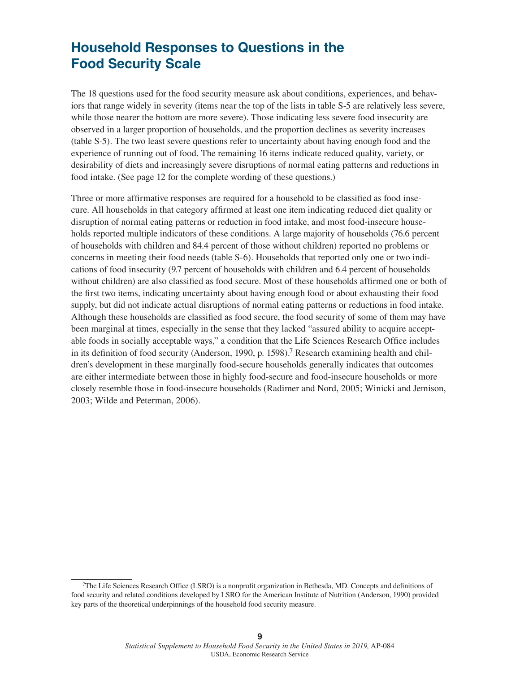### **Household Responses to Questions in the Food Security Scale**

The 18 questions used for the food security measure ask about conditions, experiences, and behaviors that range widely in severity (items near the top of the lists in table S-5 are relatively less severe, while those nearer the bottom are more severe). Those indicating less severe food insecurity are observed in a larger proportion of households, and the proportion declines as severity increases (table S-5). The two least severe questions refer to uncertainty about having enough food and the experience of running out of food. The remaining 16 items indicate reduced quality, variety, or desirability of diets and increasingly severe disruptions of normal eating patterns and reductions in food intake. (See page 12 for the complete wording of these questions.)

Three or more affirmative responses are required for a household to be classified as food insecure. All households in that category affirmed at least one item indicating reduced diet quality or disruption of normal eating patterns or reduction in food intake, and most food-insecure households reported multiple indicators of these conditions. A large majority of households (76.6 percent of households with children and 84.4 percent of those without children) reported no problems or concerns in meeting their food needs (table S-6). Households that reported only one or two indications of food insecurity (9.7 percent of households with children and 6.4 percent of households without children) are also classified as food secure. Most of these households affirmed one or both of the first two items, indicating uncertainty about having enough food or about exhausting their food supply, but did not indicate actual disruptions of normal eating patterns or reductions in food intake. Although these households are classified as food secure, the food security of some of them may have been marginal at times, especially in the sense that they lacked "assured ability to acquire acceptable foods in socially acceptable ways," a condition that the Life Sciences Research Office includes in its definition of food security (Anderson, 1990, p. 1598).<sup>7</sup> Research examining health and children's development in these marginally food-secure households generally indicates that outcomes are either intermediate between those in highly food-secure and food-insecure households or more closely resemble those in food-insecure households (Radimer and Nord, 2005; Winicki and Jemison, 2003; Wilde and Peterman, 2006).

<sup>7</sup>The Life Sciences Research Office (LSRO) is a nonprofit organization in Bethesda, MD. Concepts and definitions of food security and related conditions developed by LSRO for the American Institute of Nutrition (Anderson, 1990) provided key parts of the theoretical underpinnings of the household food security measure.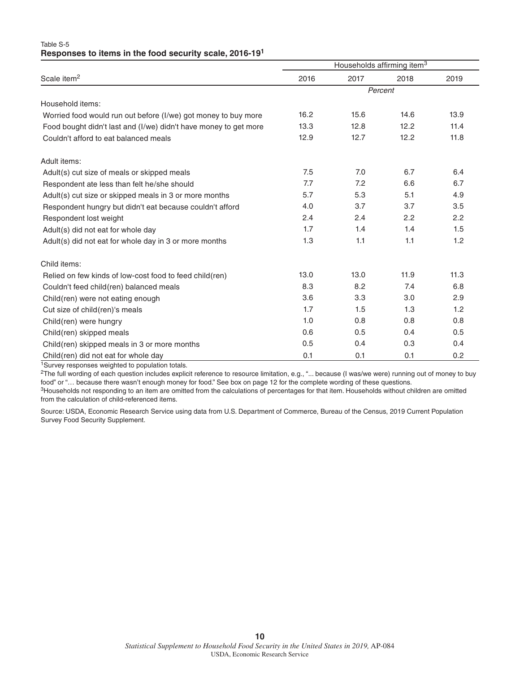| Table S-5                                                           |  |  |  |
|---------------------------------------------------------------------|--|--|--|
| Responses to items in the food security scale, 2016-19 <sup>1</sup> |  |  |  |

|                                                                  |         |      | Households affirming item <sup>3</sup> |      |  |  |
|------------------------------------------------------------------|---------|------|----------------------------------------|------|--|--|
| Scale item <sup>2</sup>                                          | 2016    | 2017 | 2018                                   | 2019 |  |  |
|                                                                  | Percent |      |                                        |      |  |  |
| Household items:                                                 |         |      |                                        |      |  |  |
| Worried food would run out before (I/we) got money to buy more   | 16.2    | 15.6 | 14.6                                   | 13.9 |  |  |
| Food bought didn't last and (I/we) didn't have money to get more | 13.3    | 12.8 | 12.2                                   | 11.4 |  |  |
| Couldn't afford to eat balanced meals                            | 12.9    | 12.7 | 12.2                                   | 11.8 |  |  |
| Adult items:                                                     |         |      |                                        |      |  |  |
| Adult(s) cut size of meals or skipped meals                      | 7.5     | 7.0  | 6.7                                    | 6.4  |  |  |
| Respondent ate less than felt he/she should                      | 7.7     | 7.2  | 6.6                                    | 6.7  |  |  |
| Adult(s) cut size or skipped meals in 3 or more months           | 5.7     | 5.3  | 5.1                                    | 4.9  |  |  |
| Respondent hungry but didn't eat because couldn't afford         | 4.0     | 3.7  | 3.7                                    | 3.5  |  |  |
| Respondent lost weight                                           | 2.4     | 2.4  | 2.2                                    | 2.2  |  |  |
| Adult(s) did not eat for whole day                               | 1.7     | 1.4  | 1.4                                    | 1.5  |  |  |
| Adult(s) did not eat for whole day in 3 or more months           | 1.3     | 1.1  | 1.1                                    | 1.2  |  |  |
| Child items:                                                     |         |      |                                        |      |  |  |
| Relied on few kinds of low-cost food to feed child (ren)         | 13.0    | 13.0 | 11.9                                   | 11.3 |  |  |
| Couldn't feed child(ren) balanced meals                          | 8.3     | 8.2  | 7.4                                    | 6.8  |  |  |
| Child(ren) were not eating enough                                | 3.6     | 3.3  | 3.0                                    | 2.9  |  |  |
| Cut size of child(ren)'s meals                                   | 1.7     | 1.5  | 1.3                                    | 1.2  |  |  |
| Child(ren) were hungry                                           | 1.0     | 0.8  | 0.8                                    | 0.8  |  |  |
| Child(ren) skipped meals                                         | 0.6     | 0.5  | 0.4                                    | 0.5  |  |  |
| Child(ren) skipped meals in 3 or more months                     | 0.5     | 0.4  | 0.3                                    | 0.4  |  |  |
| Child(ren) did not eat for whole day                             | 0.1     | 0.1  | 0.1                                    | 0.2  |  |  |

1Survey responses weighted to population totals.

<sup>2</sup>The full wording of each question includes explicit reference to resource limitation, e.g., "... because (I was/we were) running out of money to buy food" or "… because there wasn't enough money for food." See box on page 12 for the complete wording of these questions.

3Households not responding to an item are omitted from the calculations of percentages for that item. Households without children are omitted from the calculation of child-referenced items.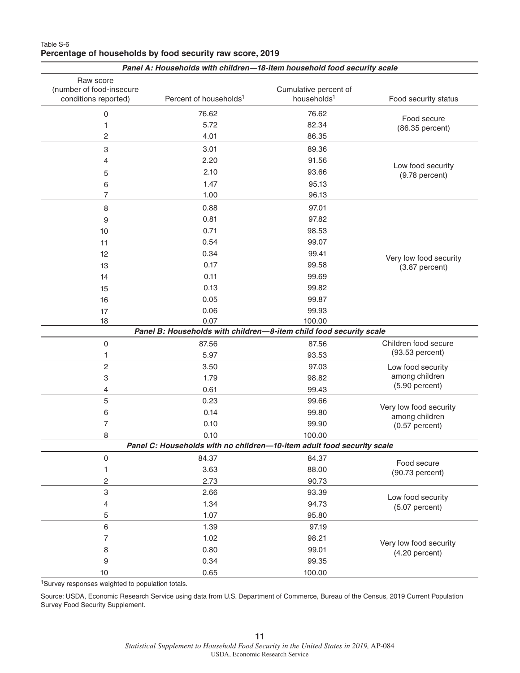|                                       | Panel A: Households with children-18-item household food security scale |                         |                                       |
|---------------------------------------|-------------------------------------------------------------------------|-------------------------|---------------------------------------|
| Raw score<br>(number of food-insecure |                                                                         | Cumulative percent of   |                                       |
| conditions reported)                  | Percent of households <sup>1</sup>                                      | households <sup>1</sup> | Food security status                  |
| 0                                     | 76.62                                                                   | 76.62                   | Food secure                           |
| 1                                     | 5.72                                                                    | 82.34                   | (86.35 percent)                       |
| $\overline{c}$                        | 4.01                                                                    | 86.35                   |                                       |
| 3                                     | 3.01                                                                    | 89.36                   |                                       |
| 4                                     | 2.20                                                                    | 91.56                   |                                       |
| 5                                     | 2.10                                                                    | 93.66                   | Low food security<br>$(9.78$ percent) |
| 6                                     | 1.47                                                                    | 95.13                   |                                       |
| 7                                     | 1.00                                                                    | 96.13                   |                                       |
| 8                                     | 0.88                                                                    | 97.01                   |                                       |
| 9                                     | 0.81                                                                    | 97.82                   |                                       |
| 10                                    | 0.71                                                                    | 98.53                   |                                       |
| 11                                    | 0.54                                                                    | 99.07                   |                                       |
| 12                                    | 0.34                                                                    | 99.41                   | Very low food security                |
| 13                                    | 0.17                                                                    | 99.58                   | $(3.87$ percent)                      |
| 14                                    | 0.11                                                                    | 99.69                   |                                       |
| 15                                    | 0.13                                                                    | 99.82                   |                                       |
| 16                                    | 0.05                                                                    | 99.87                   |                                       |
| 17                                    | 0.06                                                                    | 99.93                   |                                       |
| 18                                    | 0.07                                                                    | 100.00                  |                                       |
|                                       | Panel B: Households with children-8-item child food security scale      |                         |                                       |
| 0                                     | 87.56                                                                   | 87.56                   | Children food secure                  |
| 1                                     | 5.97                                                                    | 93.53                   | (93.53 percent)                       |
| $\overline{c}$                        | 3.50                                                                    | 97.03                   | Low food security                     |
| 3                                     | 1.79                                                                    | 98.82                   | among children                        |
| 4                                     | 0.61                                                                    | 99.43                   | $(5.90$ percent)                      |
| 5                                     | 0.23                                                                    | 99.66                   | Very low food security                |
| 6                                     | 0.14                                                                    | 99.80                   | among children                        |
| 7                                     | 0.10                                                                    | 99.90                   | $(0.57$ percent)                      |
| 8                                     | 0.10                                                                    | 100.00                  |                                       |
|                                       | Panel C: Households with no children-10-item adult food security scale  |                         |                                       |
| 0                                     | 84.37                                                                   | 84.37                   | Food secure                           |
| 1                                     | 3.63                                                                    | 88.00                   | $(90.73$ percent)                     |
| $\overline{c}$                        | 2.73                                                                    | 90.73                   |                                       |
| 3                                     | 2.66                                                                    | 93.39                   | Low food security                     |
| $\overline{4}$                        | 1.34                                                                    | 94.73                   | $(5.07$ percent)                      |
| 5                                     | 1.07                                                                    | 95.80                   |                                       |
| $6\,$                                 | 1.39                                                                    | 97.19                   |                                       |
| $\overline{7}$                        | 1.02                                                                    | 98.21                   | Very low food security                |
| 8                                     | 0.80                                                                    | 99.01                   | $(4.20$ percent)                      |
| $9\,$                                 | 0.34                                                                    | 99.35                   |                                       |
| 10                                    | 0.65                                                                    | 100.00                  |                                       |

#### Table S-6 **Percentage of households by food security raw score, 2019**

1Survey responses weighted to population totals.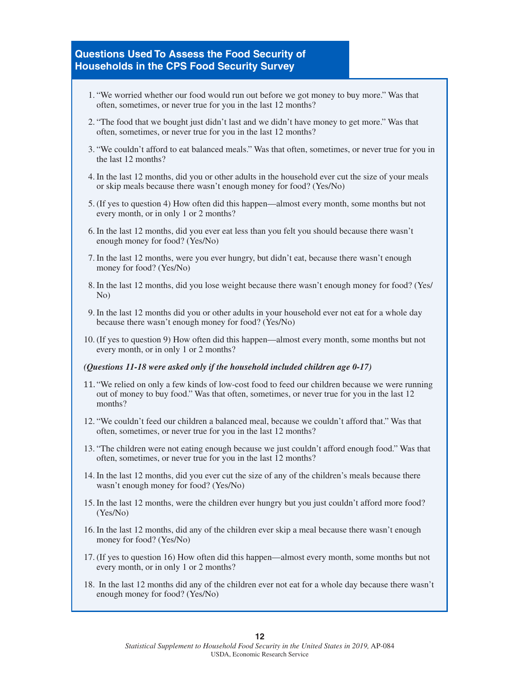### **Questions Used To Assess the Food Security of Households in the CPS Food Security Survey**

- 1. "We worried whether our food would run out before we got money to buy more." Was that often, sometimes, or never true for you in the last 12 months?
- 2. "The food that we bought just didn't last and we didn't have money to get more." Was that often, sometimes, or never true for you in the last 12 months?
- 3. "We couldn't afford to eat balanced meals." Was that often, sometimes, or never true for you in the last 12 months?
- 4. In the last 12 months, did you or other adults in the household ever cut the size of your meals or skip meals because there wasn't enough money for food? (Yes/No)
- 5. (If yes to question 4) How often did this happen—almost every month, some months but not every month, or in only 1 or 2 months?
- 6. In the last 12 months, did you ever eat less than you felt you should because there wasn't enough money for food? (Yes/No)
- 7. In the last 12 months, were you ever hungry, but didn't eat, because there wasn't enough money for food? (Yes/No)
- 8. In the last 12 months, did you lose weight because there wasn't enough money for food? (Yes/ No)
- 9. In the last 12 months did you or other adults in your household ever not eat for a whole day because there wasn't enough money for food? (Yes/No)
- 10. (If yes to question 9) How often did this happen—almost every month, some months but not every month, or in only 1 or 2 months?

#### *(Questions 11-18 were asked only if the household included children age 0-17)*

- 11. "We relied on only a few kinds of low-cost food to feed our children because we were running out of money to buy food." Was that often, sometimes, or never true for you in the last 12 months?
- 12. "We couldn't feed our children a balanced meal, because we couldn't afford that." Was that often, sometimes, or never true for you in the last 12 months?
- 13. "The children were not eating enough because we just couldn't afford enough food." Was that often, sometimes, or never true for you in the last 12 months?
- 14. In the last 12 months, did you ever cut the size of any of the children's meals because there wasn't enough money for food? (Yes/No)
- 15. In the last 12 months, were the children ever hungry but you just couldn't afford more food? (Yes/No)
- 16. In the last 12 months, did any of the children ever skip a meal because there wasn't enough money for food? (Yes/No)
- 17. (If yes to question 16) How often did this happen—almost every month, some months but not every month, or in only 1 or 2 months?
- 18. In the last 12 months did any of the children ever not eat for a whole day because there wasn't enough money for food? (Yes/No)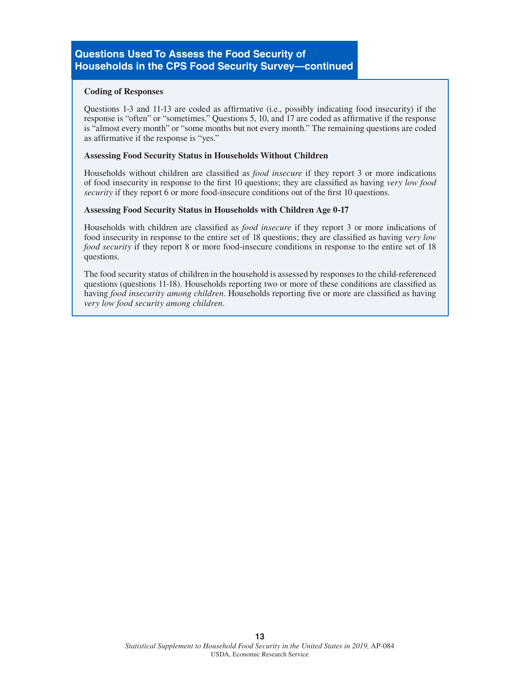#### **Coding of Responses**

Questions 1-3 and 11-13 are coded as affirmative (i.e., possibly indicating food insecurity) if the response is "often" or "sometimes." Questions 5, 10, and 17 are coded as affirmative if the response is "almost every month" or "some months but not every month." The remaining questions are coded as affirmative if the response is "yes."

#### **Assessing Food Security Status in Households Without Children**

Households without children are classified as *food insecure* if they report 3 or more indications of food insecurity in response to the first 10 questions; they are classified as having *very low food security* if they report 6 or more food-insecure conditions out of the first 10 questions.

### **Assessing Food Security Status in Households with Children Age 0-17**

Households with children are classified as *food insecure* if they report 3 or more indications of food insecurity in response to the entire set of 18 questions; they are classified as having v*ery low food security* if they report 8 or more food-insecure conditions in response to the entire set of 18 questions.

The food security status of children in the household is assessed by responses to the child-referenced questions (questions 11-18). Households reporting two or more of these conditions are classified as having *food insecurity among children*. Households reporting five or more are classified as having *very low food security among children*.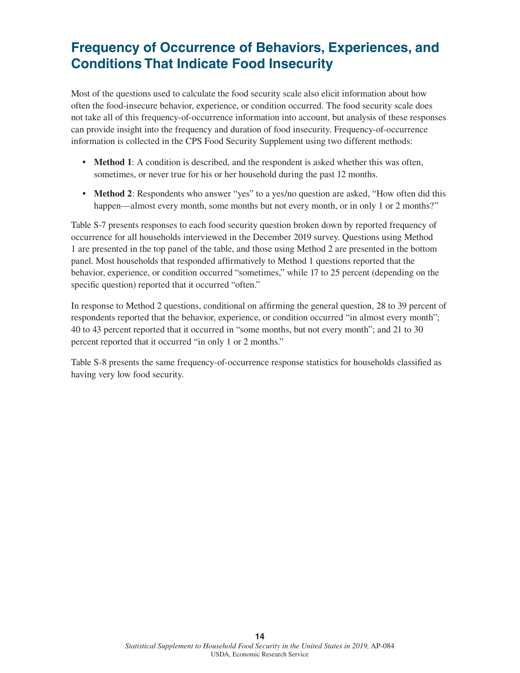### **Frequency of Occurrence of Behaviors, Experiences, and Conditions That Indicate Food Insecurity**

Most of the questions used to calculate the food security scale also elicit information about how often the food-insecure behavior, experience, or condition occurred. The food security scale does not take all of this frequency-of-occurrence information into account, but analysis of these responses can provide insight into the frequency and duration of food insecurity. Frequency-of-occurrence information is collected in the CPS Food Security Supplement using two different methods:

- **• Method 1**: A condition is described, and the respondent is asked whether this was often, sometimes, or never true for his or her household during the past 12 months.
- **Method 2**: Respondents who answer "yes" to a yes/no question are asked, "How often did this happen—almost every month, some months but not every month, or in only 1 or 2 months?"

Table S-7 presents responses to each food security question broken down by reported frequency of occurrence for all households interviewed in the December 2019 survey. Questions using Method 1 are presented in the top panel of the table, and those using Method 2 are presented in the bottom panel. Most households that responded affirmatively to Method 1 questions reported that the behavior, experience, or condition occurred "sometimes," while 17 to 25 percent (depending on the specific question) reported that it occurred "often."

In response to Method 2 questions, conditional on affirming the general question, 28 to 39 percent of respondents reported that the behavior, experience, or condition occurred "in almost every month"; 40 to 43 percent reported that it occurred in "some months, but not every month"; and 21 to 30 percent reported that it occurred "in only 1 or 2 months."

Table S-8 presents the same frequency-of-occurrence response statistics for households classified as having very low food security.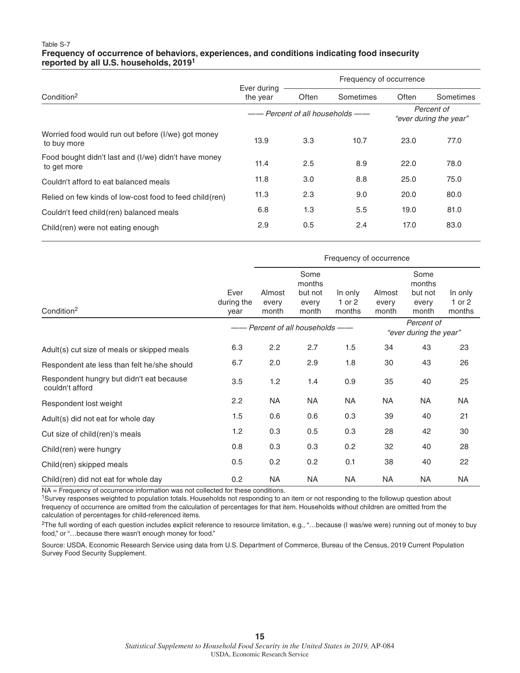#### Table S-7 **Frequency of occurrence of behaviors, experiences, and conditions indicating food insecurity reported by all U.S. households, 20191**

|                                                                     | Ever during |                               | Frequency of occurrence              |       |           |  |  |
|---------------------------------------------------------------------|-------------|-------------------------------|--------------------------------------|-------|-----------|--|--|
| Condition <sup>2</sup>                                              | the year    | Often                         | Sometimes                            | Often | Sometimes |  |  |
|                                                                     |             | - Percent of all households - | Percent of<br>"ever during the year" |       |           |  |  |
| Worried food would run out before (I/we) got money<br>to buy more   | 13.9        | 3.3                           | 10.7                                 | 23.0  | 77.0      |  |  |
| Food bought didn't last and (I/we) didn't have money<br>to get more | 11.4        | 2.5                           | 8.9                                  | 22.0  | 78.0      |  |  |
| Couldn't afford to eat balanced meals                               | 11.8        | 3.0                           | 8.8                                  | 25.0  | 75.0      |  |  |
| Relied on few kinds of low-cost food to feed child (ren)            | 11.3        | 2.3                           | 9.0                                  | 20.0  | 80.0      |  |  |
| Couldn't feed child(ren) balanced meals                             | 6.8         | 1.3                           | 5.5                                  | 19.0  | 81.0      |  |  |
| Child(ren) were not eating enough                                   | 2.9         | 0.5                           | 2.4                                  | 17.0  | 83.0      |  |  |

|                                                             |                                                                   | Frequency of occurrence  |                                             |                             |                          |                                             |                             |  |  |
|-------------------------------------------------------------|-------------------------------------------------------------------|--------------------------|---------------------------------------------|-----------------------------|--------------------------|---------------------------------------------|-----------------------------|--|--|
| Condition <sup>2</sup>                                      | Ever<br>during the<br>year                                        | Almost<br>every<br>month | Some<br>months<br>but not<br>every<br>month | In only<br>1 or 2<br>months | Almost<br>every<br>month | Some<br>months<br>but not<br>every<br>month | In only<br>1 or 2<br>months |  |  |
|                                                             | Percent of<br>Percent of all households<br>"ever during the year" |                          |                                             |                             |                          |                                             |                             |  |  |
| Adult(s) cut size of meals or skipped meals                 | 6.3                                                               | 2.2                      | 2.7                                         | 1.5                         | 34                       | 43                                          | 23                          |  |  |
| Respondent ate less than felt he/she should                 | 6.7                                                               | 2.0                      | 2.9                                         | 1.8                         | 30                       | 43                                          | 26                          |  |  |
| Respondent hungry but didn't eat because<br>couldn't afford | 3.5                                                               | 1.2                      | 1.4                                         | 0.9                         | 35                       | 40                                          | 25                          |  |  |
| Respondent lost weight                                      | 2.2                                                               | <b>NA</b>                | NA                                          | NA                          | <b>NA</b>                | NA                                          | <b>NA</b>                   |  |  |
| Adult(s) did not eat for whole day                          | 1.5                                                               | 0.6                      | 0.6                                         | 0.3                         | 39                       | 40                                          | 21                          |  |  |
| Cut size of child(ren)'s meals                              | 1.2                                                               | 0.3                      | 0.5                                         | 0.3                         | 28                       | 42                                          | 30                          |  |  |
| Child(ren) were hungry                                      | 0.8                                                               | 0.3                      | 0.3                                         | 0.2                         | 32                       | 40                                          | 28                          |  |  |
| Child(ren) skipped meals                                    | 0.5                                                               | 0.2                      | 0.2                                         | 0.1                         | 38                       | 40                                          | 22                          |  |  |
| Child(ren) did not eat for whole day                        | 0.2                                                               | <b>NA</b>                | NA                                          | <b>NA</b>                   | <b>NA</b>                | <b>NA</b>                                   | <b>NA</b>                   |  |  |

NA = Frequency of occurrence information was not collected for these conditions.

<sup>1</sup>Survey responses weighted to population totals. Households not responding to an item or not responding to the followup question about frequency of occurrence are omitted from the calculation of percentages for that item. Households without children are omitted from the calculation of percentages for child-referenced items.

<sup>2</sup>The full wording of each question includes explicit reference to resource limitation, e.g., "...because (I was/we were) running out of money to buy food," or "…because there wasn't enough money for food."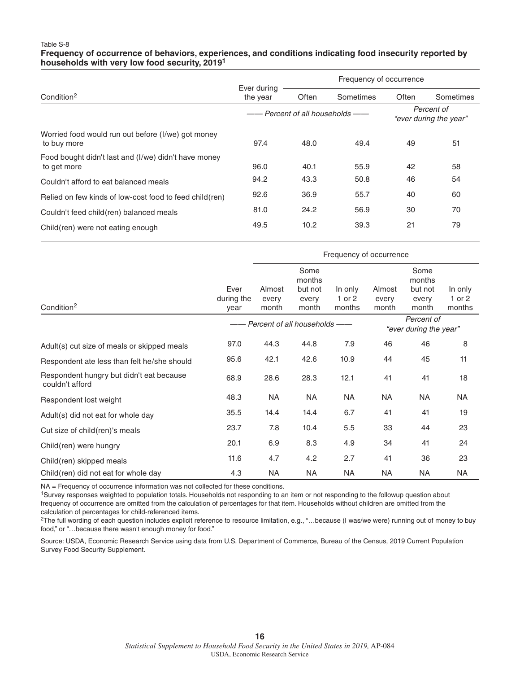#### Table S-8 **Frequency of occurrence of behaviors, experiences, and conditions indicating food insecurity reported by households with very low food security, 20191**

|                                                                     | Ever during | Frequency of occurrence       |           |                                      |           |  |
|---------------------------------------------------------------------|-------------|-------------------------------|-----------|--------------------------------------|-----------|--|
| Condition <sup>2</sup>                                              | the year    | Often                         | Sometimes | Often                                | Sometimes |  |
|                                                                     |             | - Percent of all households - |           | Percent of<br>"ever during the year" |           |  |
| Worried food would run out before (I/we) got money<br>to buy more   | 97.4        | 48.0                          | 49.4      | 49                                   | 51        |  |
| Food bought didn't last and (I/we) didn't have money<br>to get more | 96.0        | 40.1                          | 55.9      | 42                                   | 58        |  |
| Couldn't afford to eat balanced meals                               | 94.2        | 43.3                          | 50.8      | 46                                   | 54        |  |
| Relied on few kinds of low-cost food to feed child (ren)            | 92.6        | 36.9                          | 55.7      | 40                                   | 60        |  |
| Couldn't feed child (ren) balanced meals                            | 81.0        | 24.2                          | 56.9      | 30                                   | 70        |  |
| Child(ren) were not eating enough                                   | 49.5        | 10.2                          | 39.3      | 21                                   | 79        |  |

|                                                             | Frequency of occurrence                                             |                          |                                             |                             |                          |                                             |                             |
|-------------------------------------------------------------|---------------------------------------------------------------------|--------------------------|---------------------------------------------|-----------------------------|--------------------------|---------------------------------------------|-----------------------------|
| Condition <sup>2</sup>                                      | Ever<br>during the<br>vear                                          | Almost<br>every<br>month | Some<br>months<br>but not<br>every<br>month | In only<br>1 or 2<br>months | Almost<br>every<br>month | Some<br>months<br>but not<br>every<br>month | In only<br>1 or 2<br>months |
|                                                             | Percent of<br>Percent of all households -<br>"ever during the year" |                          |                                             |                             |                          |                                             |                             |
| Adult(s) cut size of meals or skipped meals                 | 97.0                                                                | 44.3                     | 44.8                                        | 7.9                         | 46                       | 46                                          | 8                           |
| Respondent ate less than felt he/she should                 | 95.6                                                                | 42.1                     | 42.6                                        | 10.9                        | 44                       | 45                                          | 11                          |
| Respondent hungry but didn't eat because<br>couldn't afford | 68.9                                                                | 28.6                     | 28.3                                        | 12.1                        | 41                       | 41                                          | 18                          |
| Respondent lost weight                                      | 48.3                                                                | <b>NA</b>                | <b>NA</b>                                   | <b>NA</b>                   | <b>NA</b>                | <b>NA</b>                                   | <b>NA</b>                   |
| Adult(s) did not eat for whole day                          | 35.5                                                                | 14.4                     | 14.4                                        | 6.7                         | 41                       | 41                                          | 19                          |
| Cut size of child (ren)'s meals                             | 23.7                                                                | 7.8                      | 10.4                                        | 5.5                         | 33                       | 44                                          | 23                          |
| Child(ren) were hungry                                      | 20.1                                                                | 6.9                      | 8.3                                         | 4.9                         | 34                       | 41                                          | 24                          |
| Child(ren) skipped meals                                    | 11.6                                                                | 4.7                      | 4.2                                         | 2.7                         | 41                       | 36                                          | 23                          |
| Child(ren) did not eat for whole day                        | 4.3                                                                 | <b>NA</b>                | NA                                          | NA                          | <b>NA</b>                | NA                                          | NA                          |

NA = Frequency of occurrence information was not collected for these conditions.

<sup>1</sup>Survey responses weighted to population totals. Households not responding to an item or not responding to the followup question about frequency of occurrence are omitted from the calculation of percentages for that item. Households without children are omitted from the calculation of percentages for child-referenced items.

<sup>2</sup>The full wording of each question includes explicit reference to resource limitation, e.g., "...because (I was/we were) running out of money to buy food," or "…because there wasn't enough money for food."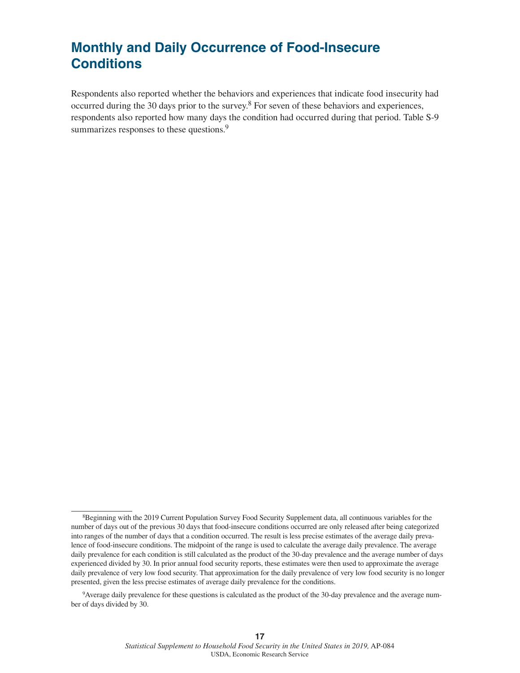### **Monthly and Daily Occurrence of Food-Insecure Conditions**

Respondents also reported whether the behaviors and experiences that indicate food insecurity had occurred during the 30 days prior to the survey.<sup>8</sup> For seven of these behaviors and experiences, respondents also reported how many days the condition had occurred during that period. Table S-9 summarizes responses to these questions.<sup>9</sup>

<sup>&</sup>lt;sup>8</sup>Beginning with the 2019 Current Population Survey Food Security Supplement data, all continuous variables for the number of days out of the previous 30 days that food-insecure conditions occurred are only released after being categorized into ranges of the number of days that a condition occurred. The result is less precise estimates of the average daily prevalence of food-insecure conditions. The midpoint of the range is used to calculate the average daily prevalence. The average daily prevalence for each condition is still calculated as the product of the 30-day prevalence and the average number of days experienced divided by 30. In prior annual food security reports, these estimates were then used to approximate the average daily prevalence of very low food security. That approximation for the daily prevalence of very low food security is no longer presented, given the less precise estimates of average daily prevalence for the conditions.

<sup>9</sup>Average daily prevalence for these questions is calculated as the product of the 30-day prevalence and the average number of days divided by 30.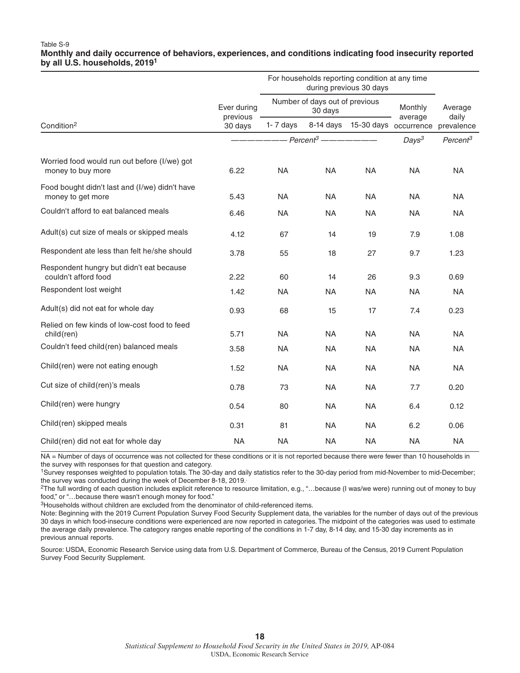#### Table S-9 **Monthly and daily occurrence of behaviors, experiences, and conditions indicating food insecurity reported by all U.S. households, 2019<sup>1</sup>**

|                                                                     |                         | For households reporting condition at any time |                                           |                                 |                      |            |
|---------------------------------------------------------------------|-------------------------|------------------------------------------------|-------------------------------------------|---------------------------------|----------------------|------------|
|                                                                     | Ever during<br>previous |                                                | Number of days out of previous<br>30 days | Monthly<br>average              | Average<br>daily     |            |
| Condition <sup>2</sup>                                              | 30 days                 | 1- 7 days                                      |                                           | 8-14 days 15-30 days occurrence |                      | prevalence |
|                                                                     |                         | ———————— Percent <sup>3</sup> ———————          |                                           | Days <sup>3</sup>               | Percent <sup>3</sup> |            |
| Worried food would run out before (I/we) got<br>money to buy more   | 6.22                    | <b>NA</b>                                      | <b>NA</b>                                 | <b>NA</b>                       | <b>NA</b>            | <b>NA</b>  |
| Food bought didn't last and (I/we) didn't have<br>money to get more | 5.43                    | <b>NA</b>                                      | <b>NA</b>                                 | <b>NA</b>                       | <b>NA</b>            | <b>NA</b>  |
| Couldn't afford to eat balanced meals                               | 6.46                    | <b>NA</b>                                      | <b>NA</b>                                 | <b>NA</b>                       | <b>NA</b>            | <b>NA</b>  |
| Adult(s) cut size of meals or skipped meals                         | 4.12                    | 67                                             | 14                                        | 19                              | 7.9                  | 1.08       |
| Respondent ate less than felt he/she should                         | 3.78                    | 55                                             | 18                                        | 27                              | 9.7                  | 1.23       |
| Respondent hungry but didn't eat because<br>couldn't afford food    | 2.22                    | 60                                             | 14                                        | 26                              | 9.3                  | 0.69       |
| Respondent lost weight                                              | 1.42                    | <b>NA</b>                                      | <b>NA</b>                                 | <b>NA</b>                       | <b>NA</b>            | <b>NA</b>  |
| Adult(s) did not eat for whole day                                  | 0.93                    | 68                                             | 15                                        | 17                              | 7.4                  | 0.23       |
| Relied on few kinds of low-cost food to feed<br>child(ren)          | 5.71                    | <b>NA</b>                                      | <b>NA</b>                                 | <b>NA</b>                       | <b>NA</b>            | <b>NA</b>  |
| Couldn't feed child(ren) balanced meals                             | 3.58                    | <b>NA</b>                                      | <b>NA</b>                                 | <b>NA</b>                       | <b>NA</b>            | <b>NA</b>  |
| Child(ren) were not eating enough                                   | 1.52                    | <b>NA</b>                                      | <b>NA</b>                                 | <b>NA</b>                       | <b>NA</b>            | <b>NA</b>  |
| Cut size of child(ren)'s meals                                      | 0.78                    | 73                                             | <b>NA</b>                                 | <b>NA</b>                       | 7.7                  | 0.20       |
| Child(ren) were hungry                                              | 0.54                    | 80                                             | <b>NA</b>                                 | <b>NA</b>                       | 6.4                  | 0.12       |
| Child(ren) skipped meals                                            | 0.31                    | 81                                             | <b>NA</b>                                 | <b>NA</b>                       | 6.2                  | 0.06       |
| Child(ren) did not eat for whole day                                | <b>NA</b>               | <b>NA</b>                                      | <b>NA</b>                                 | <b>NA</b>                       | <b>NA</b>            | <b>NA</b>  |

NA = Number of days of occurrence was not collected for these conditions or it is not reported because there were fewer than 10 households in the survey with responses for that question and category.

1Survey responses weighted to population totals. The 30-day and daily statistics refer to the 30-day period from mid-November to mid-December; the survey was conducted during the week of December 8-18, 2019..

2The full wording of each question includes explicit reference to resource limitation, e.g., "…because (I was/we were) running out of money to buy food," or "…because there wasn't enough money for food."

<sup>3</sup>Households without children are excluded from the denominator of child-referenced items.

Note: Beginning with the 2019 Current Population Survey Food Security Supplement data, the variables for the number of days out of the previous 30 days in which food-insecure conditions were experienced are now reported in categories. The midpoint of the categories was used to estimate the average daily prevalence. The category ranges enable reporting of the conditions in 1-7 day, 8-14 day, and 15-30 day increments as in previous annual reports.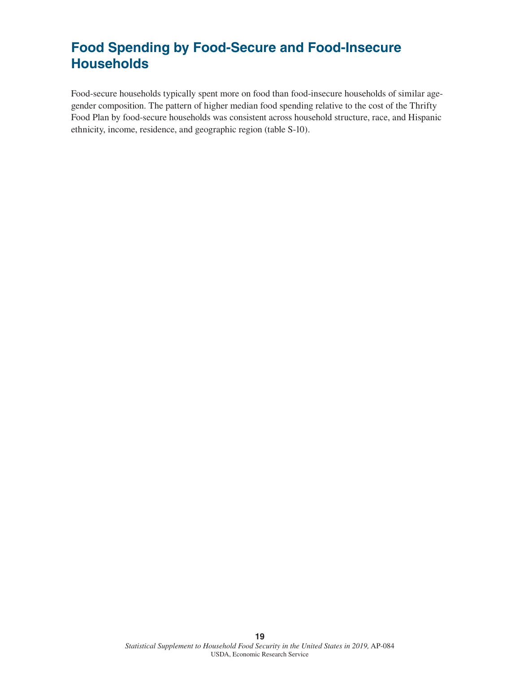### **Food Spending by Food-Secure and Food-Insecure Households**

Food-secure households typically spent more on food than food-insecure households of similar agegender composition. The pattern of higher median food spending relative to the cost of the Thrifty Food Plan by food-secure households was consistent across household structure, race, and Hispanic ethnicity, income, residence, and geographic region (table S-10).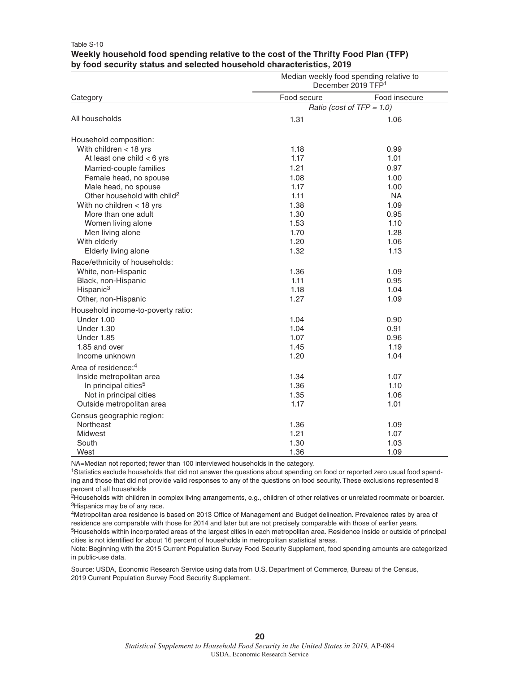### **Weekly household food spending relative to the cost of the Thrifty Food Plan (TFP) by food security status and selected household characteristics, 2019** Median weekly food spending relative to

Table S-10

|                                         | <u>Median Meenty Tood Speriumy relative to</u><br>December 2019 TFP <sup>1</sup> |                              |  |  |  |
|-----------------------------------------|----------------------------------------------------------------------------------|------------------------------|--|--|--|
| Category                                | Food secure                                                                      | Food insecure                |  |  |  |
|                                         |                                                                                  | Ratio (cost of $TFP = 1.0$ ) |  |  |  |
| All households                          | 1.31                                                                             | 1.06                         |  |  |  |
| Household composition:                  |                                                                                  |                              |  |  |  |
| With children $<$ 18 yrs                | 1.18                                                                             | 0.99                         |  |  |  |
| At least one child $<$ 6 yrs            | 1.17                                                                             | 1.01                         |  |  |  |
| Married-couple families                 | 1.21                                                                             | 0.97                         |  |  |  |
| Female head, no spouse                  | 1.08                                                                             | 1.00                         |  |  |  |
| Male head, no spouse                    | 1.17                                                                             | 1.00                         |  |  |  |
| Other household with child <sup>2</sup> | 1.11                                                                             | NA.                          |  |  |  |
| With no children < 18 yrs               | 1.38                                                                             | 1.09                         |  |  |  |
| More than one adult                     | 1.30                                                                             | 0.95                         |  |  |  |
| Women living alone                      | 1.53                                                                             | 1.10                         |  |  |  |
| Men living alone                        | 1.70                                                                             | 1.28                         |  |  |  |
| With elderly                            | 1.20                                                                             | 1.06                         |  |  |  |
| Elderly living alone                    | 1.32                                                                             | 1.13                         |  |  |  |
| Race/ethnicity of households:           |                                                                                  |                              |  |  |  |
| White, non-Hispanic                     | 1.36                                                                             | 1.09                         |  |  |  |
| Black, non-Hispanic                     | 1.11                                                                             | 0.95                         |  |  |  |
| Hispanic <sup>3</sup>                   | 1.18                                                                             | 1.04                         |  |  |  |
| Other, non-Hispanic                     | 1.27                                                                             | 1.09                         |  |  |  |
| Household income-to-poverty ratio:      |                                                                                  |                              |  |  |  |
| Under 1.00                              | 1.04                                                                             | 0.90                         |  |  |  |
| <b>Under 1.30</b>                       | 1.04                                                                             | 0.91                         |  |  |  |
| Under 1.85                              | 1.07                                                                             | 0.96                         |  |  |  |
| 1.85 and over                           | 1.45                                                                             | 1.19                         |  |  |  |
| Income unknown                          | 1.20                                                                             | 1.04                         |  |  |  |
| Area of residence: <sup>4</sup>         |                                                                                  |                              |  |  |  |
| Inside metropolitan area                | 1.34                                                                             | 1.07                         |  |  |  |
| In principal cities <sup>5</sup>        | 1.36                                                                             | 1.10                         |  |  |  |
| Not in principal cities                 | 1.35                                                                             | 1.06                         |  |  |  |
| Outside metropolitan area               | 1.17                                                                             | 1.01                         |  |  |  |
| Census geographic region:               |                                                                                  |                              |  |  |  |
| Northeast                               | 1.36                                                                             | 1.09                         |  |  |  |
| Midwest                                 | 1.21                                                                             | 1.07                         |  |  |  |
| South                                   | 1.30                                                                             | 1.03                         |  |  |  |
| West                                    | 1.36                                                                             | 1.09                         |  |  |  |
|                                         |                                                                                  |                              |  |  |  |

NA=Median not reported; fewer than 100 interviewed households in the category.

1Statistics exclude households that did not answer the questions about spending on food or reported zero usual food spending and those that did not provide valid responses to any of the questions on food security. These exclusions represented 8 percent of all households

2Households with children in complex living arrangements, e.g., children of other relatives or unrelated roommate or boarder. <sup>3</sup>Hispanics may be of any race.

4Metropolitan area residence is based on 2013 Office of Management and Budget delineation. Prevalence rates by area of residence are comparable with those for 2014 and later but are not precisely comparable with those of earlier years.

<sup>5</sup>Households within incorporated areas of the largest cities in each metropolitan area. Residence inside or outside of principal cities is not identified for about 16 percent of households in metropolitan statistical areas.

Note: Beginning with the 2015 Current Population Survey Food Security Supplement, food spending amounts are categorized in public-use data.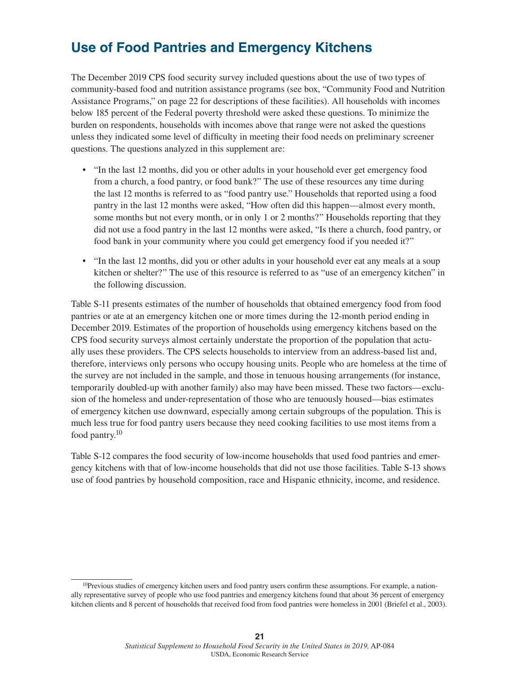### **Use of Food Pantries and Emergency Kitchens**

The December 2019 CPS food security survey included questions about the use of two types of community-based food and nutrition assistance programs (see box, "Community Food and Nutrition Assistance Programs," on page 22 for descriptions of these facilities). All households with incomes below 185 percent of the Federal poverty threshold were asked these questions. To minimize the burden on respondents, households with incomes above that range were not asked the questions unless they indicated some level of difficulty in meeting their food needs on preliminary screener questions. The questions analyzed in this supplement are:

- "In the last 12 months, did you or other adults in your household ever get emergency food from a church, a food pantry, or food bank?" The use of these resources any time during the last 12 months is referred to as "food pantry use." Households that reported using a food pantry in the last 12 months were asked, "How often did this happen—almost every month, some months but not every month, or in only 1 or 2 months?" Households reporting that they did not use a food pantry in the last 12 months were asked, "Is there a church, food pantry, or food bank in your community where you could get emergency food if you needed it?"
- "In the last 12 months, did you or other adults in your household ever eat any meals at a soup kitchen or shelter?" The use of this resource is referred to as "use of an emergency kitchen" in the following discussion.

Table S-11 presents estimates of the number of households that obtained emergency food from food pantries or ate at an emergency kitchen one or more times during the 12-month period ending in December 2019. Estimates of the proportion of households using emergency kitchens based on the CPS food security surveys almost certainly understate the proportion of the population that actually uses these providers. The CPS selects households to interview from an address-based list and, therefore, interviews only persons who occupy housing units. People who are homeless at the time of the survey are not included in the sample, and those in tenuous housing arrangements (for instance, temporarily doubled-up with another family) also may have been missed. These two factors—exclusion of the homeless and under-representation of those who are tenuously housed—bias estimates of emergency kitchen use downward, especially among certain subgroups of the population. This is much less true for food pantry users because they need cooking facilities to use most items from a food pantry.10

Table S-12 compares the food security of low-income households that used food pantries and emergency kitchens with that of low-income households that did not use those facilities. Table S-13 shows use of food pantries by household composition, race and Hispanic ethnicity, income, and residence.

 $10$ Previous studies of emergency kitchen users and food pantry users confirm these assumptions. For example, a nationally representative survey of people who use food pantries and emergency kitchens found that about 36 percent of emergency kitchen clients and 8 percent of households that received food from food pantries were homeless in 2001 (Briefel et al., 2003).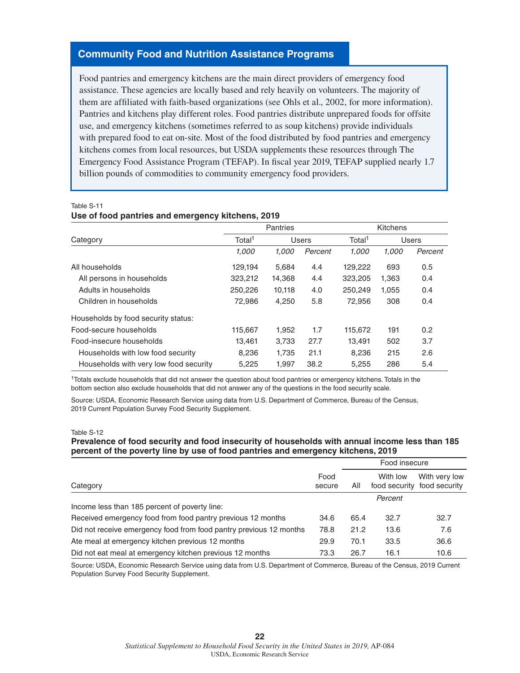### **Community Food and Nutrition Assistance Programs**

Food pantries and emergency kitchens are the main direct providers of emergency food assistance. These agencies are locally based and rely heavily on volunteers. The majority of them are affiliated with faith-based organizations (see Ohls et al., 2002, for more information). Pantries and kitchens play different roles. Food pantries distribute unprepared foods for offsite use, and emergency kitchens (sometimes referred to as soup kitchens) provide individuals with prepared food to eat on-site. Most of the food distributed by food pantries and emergency kitchens comes from local resources, but USDA supplements these resources through The Emergency Food Assistance Program (TEFAP). In fiscal year 2019, TEFAP supplied nearly 1.7 billion pounds of commodities to community emergency food providers.

#### Table S-11

#### **Use of food pantries and emergency kitchens, 2019**

|                                        | <b>Pantries</b>             |        |                             | Kitchens |       |         |
|----------------------------------------|-----------------------------|--------|-----------------------------|----------|-------|---------|
| Category                               | Total <sup>1</sup><br>Users |        | Total <sup>1</sup><br>Users |          |       |         |
|                                        | 1.000                       | 1.000  | Percent                     | 1.000    | 1.000 | Percent |
| All households                         | 129,194                     | 5,684  | 4.4                         | 129,222  | 693   | 0.5     |
| All persons in households              | 323,212                     | 14,368 | 4.4                         | 323,205  | 1,363 | 0.4     |
| Adults in households                   | 250,226                     | 10,118 | 4.0                         | 250.249  | 1,055 | 0.4     |
| Children in households                 | 72,986                      | 4,250  | 5.8                         | 72,956   | 308   | 0.4     |
| Households by food security status:    |                             |        |                             |          |       |         |
| Food-secure households                 | 115,667                     | 1.952  | 1.7                         | 115,672  | 191   | 0.2     |
| Food-insecure households               | 13,461                      | 3,733  | 27.7                        | 13,491   | 502   | 3.7     |
| Households with low food security      | 8.236                       | 1.735  | 21.1                        | 8,236    | 215   | 2.6     |
| Households with very low food security | 5.225                       | 1.997  | 38.2                        | 5,255    | 286   | 5.4     |

1Totals exclude households that did not answer the question about food pantries or emergency kitchens. Totals in the bottom section also exclude households that did not answer any of the questions in the food security scale.

Source: USDA, Economic Research Service using data from U.S. Department of Commerce, Bureau of the Census, 2019 Current Population Survey Food Security Supplement.

#### Table S-12

### **Prevalence of food security and food insecurity of households with annual income less than 185 percent of the poverty line by use of food pantries and emergency kitchens, 2019**

|                                                                    |                | Food insecure |          |                                              |  |
|--------------------------------------------------------------------|----------------|---------------|----------|----------------------------------------------|--|
| Category                                                           | Food<br>secure | All           | With low | With very low<br>food security food security |  |
| Income less than 185 percent of poverty line:                      |                |               | Percent  |                                              |  |
| Received emergency food from food pantry previous 12 months        | 34.6           | 65.4          | 32.7     | 32.7                                         |  |
| Did not receive emergency food from food pantry previous 12 months | 78.8           | 21.2          | 13.6     | 7.6                                          |  |
| Ate meal at emergency kitchen previous 12 months                   | 29.9           | 70.1          | 33.5     | 36.6                                         |  |
| Did not eat meal at emergency kitchen previous 12 months           | 73.3           | 26.7          | 16.1     | 10.6                                         |  |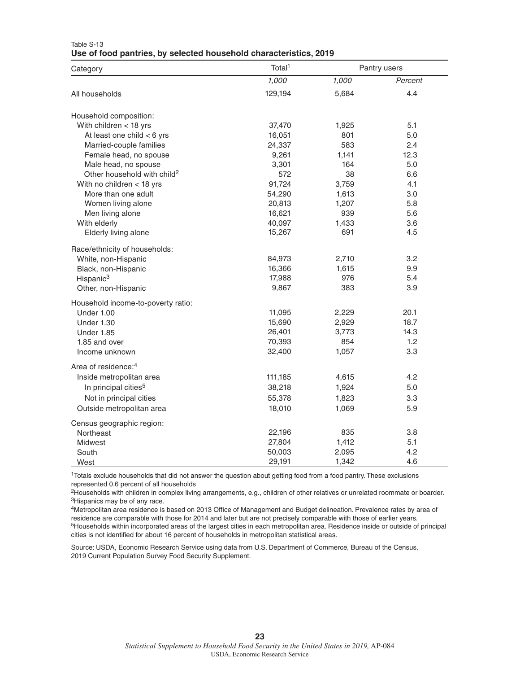| Category                                | Total <sup>1</sup> |       | Pantry users |
|-----------------------------------------|--------------------|-------|--------------|
|                                         | 1,000              | 1,000 | Percent      |
| All households                          | 129,194            | 5,684 | 4.4          |
| Household composition:                  |                    |       |              |
| With children $<$ 18 yrs                | 37,470             | 1,925 | 5.1          |
| At least one child $<$ 6 yrs            | 16,051             | 801   | 5.0          |
| Married-couple families                 | 24,337             | 583   | 2.4          |
| Female head, no spouse                  | 9,261              | 1,141 | 12.3         |
| Male head, no spouse                    | 3,301              | 164   | 5.0          |
| Other household with child <sup>2</sup> | 572                | 38    | 6.6          |
| With no children $<$ 18 yrs             | 91,724             | 3,759 | 4.1          |
| More than one adult                     | 54,290             | 1,613 | 3.0          |
| Women living alone                      | 20,813             | 1,207 | 5.8          |
| Men living alone                        | 16,621             | 939   | 5.6          |
| With elderly                            | 40,097             | 1,433 | 3.6          |
| Elderly living alone                    | 15,267             | 691   | 4.5          |
| Race/ethnicity of households:           |                    |       |              |
| White, non-Hispanic                     | 84,973             | 2,710 | 3.2          |
| Black, non-Hispanic                     | 16,366             | 1,615 | 9.9          |
| Hispanic <sup>3</sup>                   | 17,988             | 976   | 5.4          |
| Other, non-Hispanic                     | 9,867              | 383   | 3.9          |
| Household income-to-poverty ratio:      |                    |       |              |
| Under 1.00                              | 11,095             | 2,229 | 20.1         |
| Under 1.30                              | 15,690             | 2,929 | 18.7         |
| Under 1.85                              | 26,401             | 3,773 | 14.3         |
| 1.85 and over                           | 70,393             | 854   | 1.2          |
| Income unknown                          | 32,400             | 1,057 | 3.3          |
| Area of residence: <sup>4</sup>         |                    |       |              |
| Inside metropolitan area                | 111,185            | 4,615 | 4.2          |
| In principal cities <sup>5</sup>        | 38,218             | 1,924 | 5.0          |
| Not in principal cities                 | 55,378             | 1,823 | 3.3          |
| Outside metropolitan area               | 18,010             | 1,069 | 5.9          |
| Census geographic region:               |                    |       |              |
| Northeast                               | 22,196             | 835   | 3.8          |
| Midwest                                 | 27,804             | 1,412 | 5.1          |
| South                                   | 50,003             | 2,095 | 4.2          |
| West                                    | 29,191             | 1,342 | 4.6          |

#### Table S-13 **Use of food pantries, by selected household characteristics, 2019**

1Totals exclude households that did not answer the question about getting food from a food pantry. These exclusions represented 0.6 percent of all households

<sup>2</sup>Households with children in complex living arrangements, e.g., children of other relatives or unrelated roommate or boarder. <sup>3</sup>Hispanics may be of any race.

4Metropolitan area residence is based on 2013 Office of Management and Budget delineation. Prevalence rates by area of residence are comparable with those for 2014 and later but are not precisely comparable with those of earlier years. 5Households within incorporated areas of the largest cities in each metropolitan area. Residence inside or outside of principal cities is not identified for about 16 percent of households in metropolitan statistical areas.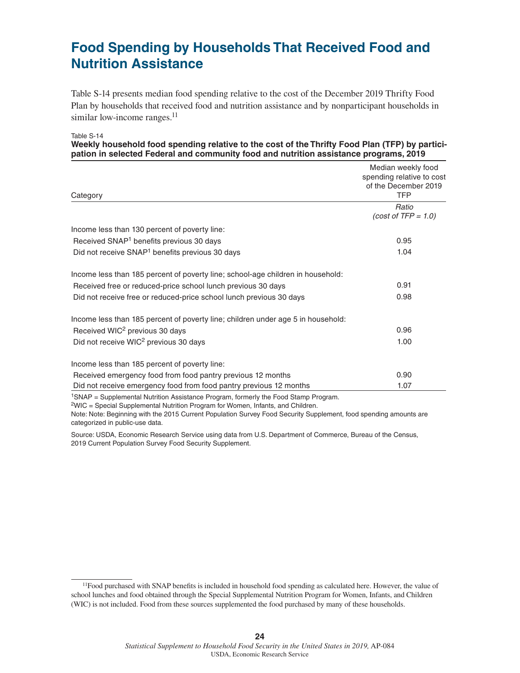### **Food Spending by Households That Received Food and Nutrition Assistance**

Table S-14 presents median food spending relative to the cost of the December 2019 Thrifty Food Plan by households that received food and nutrition assistance and by nonparticipant households in similar low-income ranges.<sup>11</sup>

Table S-14

#### **Weekly household food spending relative to the cost of the Thrifty Food Plan (TFP) by participation in selected Federal and community food and nutrition assistance programs, 2019**

| Category                                                                                        | Median weekly food<br>spending relative to cost<br>of the December 2019<br><b>TFP</b> |
|-------------------------------------------------------------------------------------------------|---------------------------------------------------------------------------------------|
|                                                                                                 | Ratio                                                                                 |
|                                                                                                 | $(cost of TFP = 1.0)$                                                                 |
| Income less than 130 percent of poverty line:                                                   |                                                                                       |
| Received SNAP <sup>1</sup> benefits previous 30 days                                            | 0.95                                                                                  |
| Did not receive SNAP <sup>1</sup> benefits previous 30 days                                     | 1.04                                                                                  |
| Income less than 185 percent of poverty line; school-age children in household:                 |                                                                                       |
| Received free or reduced-price school lunch previous 30 days                                    | 0.91                                                                                  |
| Did not receive free or reduced-price school lunch previous 30 days                             | 0.98                                                                                  |
| Income less than 185 percent of poverty line; children under age 5 in household:                |                                                                                       |
| Received WIC <sup>2</sup> previous 30 days                                                      | 0.96                                                                                  |
| Did not receive WIC <sup>2</sup> previous 30 days                                               | 1.00                                                                                  |
| Income less than 185 percent of poverty line:                                                   |                                                                                       |
| Received emergency food from food pantry previous 12 months                                     | 0.90                                                                                  |
| Did not receive emergency food from food pantry previous 12 months                              | 1.07                                                                                  |
| <sup>1</sup> SNAP = Supplemental Nutrition Assistance Program, formerly the Food Stamp Program. |                                                                                       |

2WIC = Special Supplemental Nutrition Program for Women, Infants, and Children.

Note: Note: Beginning with the 2015 Current Population Survey Food Security Supplement, food spending amounts are categorized in public-use data.

<sup>11</sup>Food purchased with SNAP benefits is included in household food spending as calculated here. However, the value of school lunches and food obtained through the Special Supplemental Nutrition Program for Women, Infants, and Children (WIC) is not included. Food from these sources supplemented the food purchased by many of these households.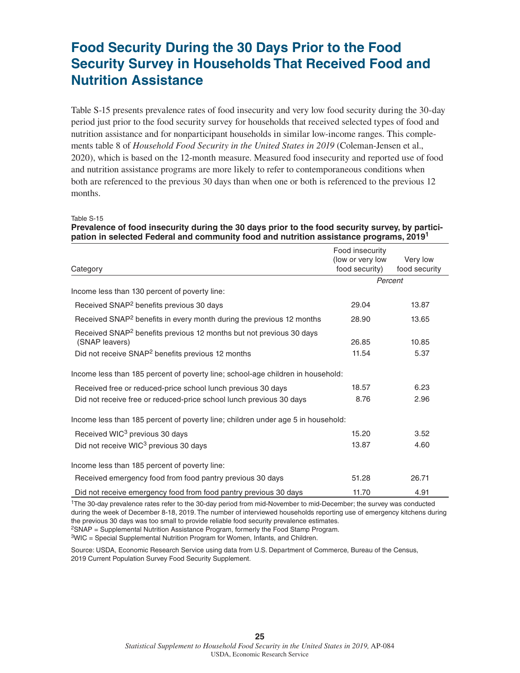### **Food Security During the 30 Days Prior to the Food Security Survey in Households That Received Food and Nutrition Assistance**

Table S-15 presents prevalence rates of food insecurity and very low food security during the 30-day period just prior to the food security survey for households that received selected types of food and nutrition assistance and for nonparticipant households in similar low-income ranges. This complements table 8 of *Household Food Security in the United States in 2019* (Coleman-Jensen et al., 2020), which is based on the 12-month measure. Measured food insecurity and reported use of food and nutrition assistance programs are more likely to refer to contemporaneous conditions when both are referenced to the previous 30 days than when one or both is referenced to the previous 12 months.

Table S-15

### **Prevalence of food insecurity during the 30 days prior to the food security survey, by participation in selected Federal and community food and nutrition assistance programs, 2019<sup>1</sup>**

| Food insecurity                                                                  |                                                                                                                                              |
|----------------------------------------------------------------------------------|----------------------------------------------------------------------------------------------------------------------------------------------|
| food security)                                                                   | Very low<br>food security                                                                                                                    |
| Percent                                                                          |                                                                                                                                              |
|                                                                                  |                                                                                                                                              |
| 29.04                                                                            | 13.87                                                                                                                                        |
| 28.90                                                                            | 13.65                                                                                                                                        |
|                                                                                  |                                                                                                                                              |
| 26.85                                                                            | 10.85                                                                                                                                        |
| 11.54                                                                            | 5.37                                                                                                                                         |
| Income less than 185 percent of poverty line; school-age children in household:  |                                                                                                                                              |
| 18.57                                                                            | 6.23                                                                                                                                         |
| 8.76                                                                             | 2.96                                                                                                                                         |
| Income less than 185 percent of poverty line; children under age 5 in household: |                                                                                                                                              |
| 15.20                                                                            | 3.52                                                                                                                                         |
| 13.87                                                                            | 4.60                                                                                                                                         |
|                                                                                  |                                                                                                                                              |
| 51.28                                                                            | 26.71                                                                                                                                        |
| 11.70                                                                            | 4.91                                                                                                                                         |
|                                                                                  | (low or very low<br>$1 \pm 0.5$ . An also considered with a set of the time and also control from and the conditioning with $\mathbf{B}$ and |

1The 30-day prevalence rates refer to the 30-day period from mid-November to mid-December; the survey was conducted during the week of December 8-18, 2019. The number of interviewed households reporting use of emergency kitchens during the previous 30 days was too small to provide reliable food security prevalence estimates.

2SNAP = Supplemental Nutrition Assistance Program, formerly the Food Stamp Program.

3WIC = Special Supplemental Nutrition Program for Women, Infants, and Children.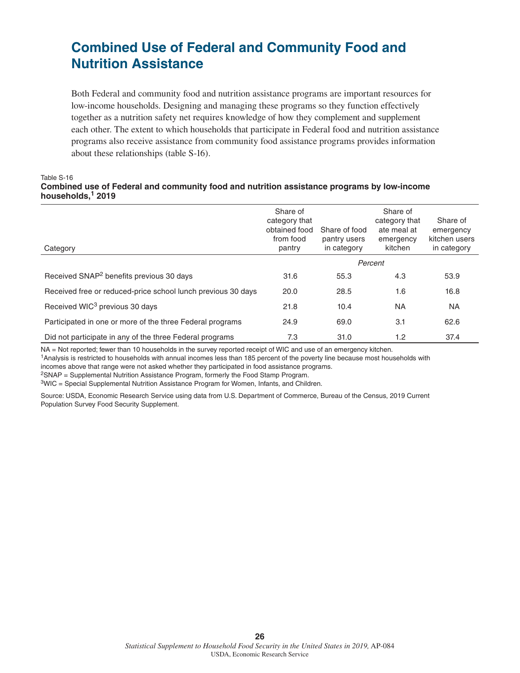### **Combined Use of Federal and Community Food and Nutrition Assistance**

Both Federal and community food and nutrition assistance programs are important resources for low-income households. Designing and managing these programs so they function effectively together as a nutrition safety net requires knowledge of how they complement and supplement each other. The extent to which households that participate in Federal food and nutrition assistance programs also receive assistance from community food assistance programs provides information about these relationships (table S-16).

#### Table S-16 **Combined use of Federal and community food and nutrition assistance programs by low-income households,1 2019**

| Category                                                     | Share of<br>category that<br>obtained food<br>from food<br>pantry | Share of food<br>pantry users<br>in category | Share of<br>category that<br>ate meal at<br>emergency<br>kitchen | Share of<br>emergency<br>kitchen users<br>in category |
|--------------------------------------------------------------|-------------------------------------------------------------------|----------------------------------------------|------------------------------------------------------------------|-------------------------------------------------------|
|                                                              |                                                                   |                                              | Percent                                                          |                                                       |
| Received SNAP <sup>2</sup> benefits previous 30 days         | 31.6                                                              | 55.3                                         | 4.3                                                              | 53.9                                                  |
| Received free or reduced-price school lunch previous 30 days | 20.0                                                              | 28.5                                         | 1.6                                                              | 16.8                                                  |
| Received WIC <sup>3</sup> previous 30 days                   | 21.8                                                              | 10.4                                         | <b>NA</b>                                                        | <b>NA</b>                                             |
| Participated in one or more of the three Federal programs    | 24.9                                                              | 69.0                                         | 3.1                                                              | 62.6                                                  |
| Did not participate in any of the three Federal programs     | 7.3                                                               | 31.0                                         | 1.2                                                              | 37.4                                                  |

NA = Not reported; fewer than 10 households in the survey reported receipt of WIC and use of an emergency kitchen.

1Analysis is restricted to households with annual incomes less than 185 percent of the poverty line because most households with incomes above that range were not asked whether they participated in food assistance programs.

2SNAP = Supplemental Nutrition Assistance Program, formerly the Food Stamp Program.

3WIC = Special Supplemental Nutrition Assistance Program for Women, Infants, and Children.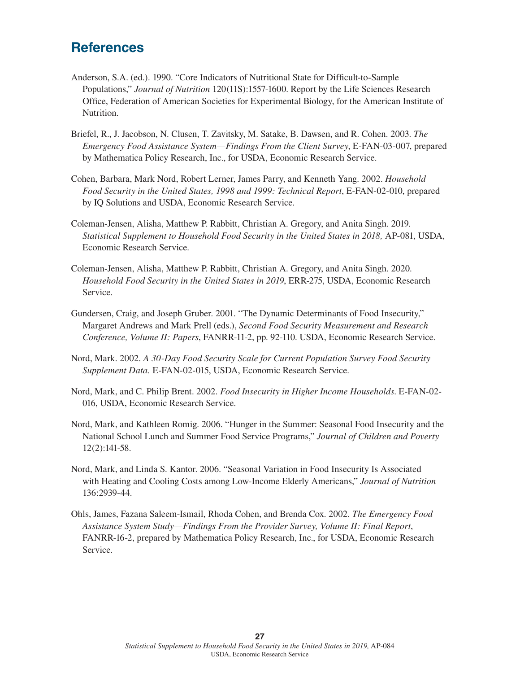### **References**

- Anderson, S.A. (ed.). 1990. "Core Indicators of Nutritional State for Difficult-to-Sample Populations," *Journal of Nutrition* 120(11S):1557-1600. Report by the Life Sciences Research Office, Federation of American Societies for Experimental Biology, for the American Institute of Nutrition.
- Briefel, R., J. Jacobson, N. Clusen, T. Zavitsky, M. Satake, B. Dawsen, and R. Cohen. 2003. *The Emergency Food Assistance System—Findings From the Client Survey*, E-FAN-03-007, prepared by Mathematica Policy Research, Inc., for USDA, Economic Research Service.
- Cohen, Barbara, Mark Nord, Robert Lerner, James Parry, and Kenneth Yang. 2002. *Household Food Security in the United States, 1998 and 1999: Technical Report*, E-FAN-02-010, prepared by IQ Solutions and USDA, Economic Research Service.
- Coleman-Jensen, Alisha, Matthew P. Rabbitt, Christian A. Gregory, and Anita Singh. 2019. *Statistical Supplement to Household Food Security in the United States in 2018,* AP-081, USDA, Economic Research Service.
- Coleman-Jensen, Alisha, Matthew P. Rabbitt, Christian A. Gregory, and Anita Singh. 2020. *Household Food Security in the United States in 2019*, ERR-275, USDA, Economic Research Service.
- Gundersen, Craig, and Joseph Gruber. 2001. "The Dynamic Determinants of Food Insecurity," Margaret Andrews and Mark Prell (eds.), *Second Food Security Measurement and Research Conference, Volume II: Papers*, FANRR-11-2, pp. 92-110. USDA, Economic Research Service.
- Nord, Mark. 2002. *A 30-Day Food Security Scale for Current Population Survey Food Security Supplement Data.* E-FAN-02-015, USDA, Economic Research Service.
- Nord, Mark, and C. Philip Brent. 2002. *Food Insecurity in Higher Income Households*. E-FAN-02- 016, USDA, Economic Research Service.
- Nord, Mark, and Kathleen Romig. 2006. "Hunger in the Summer: Seasonal Food Insecurity and the National School Lunch and Summer Food Service Programs," *Journal of Children and Poverty* 12(2):141-58.
- Nord, Mark, and Linda S. Kantor. 2006. "Seasonal Variation in Food Insecurity Is Associated with Heating and Cooling Costs among Low-Income Elderly Americans," *Journal of Nutrition* 136:2939-44.
- Ohls, James, Fazana Saleem-Ismail, Rhoda Cohen, and Brenda Cox. 2002. *The Emergency Food Assistance System Study—Findings From the Provider Survey, Volume II: Final Report*, FANRR-16-2, prepared by Mathematica Policy Research, Inc., for USDA, Economic Research Service.